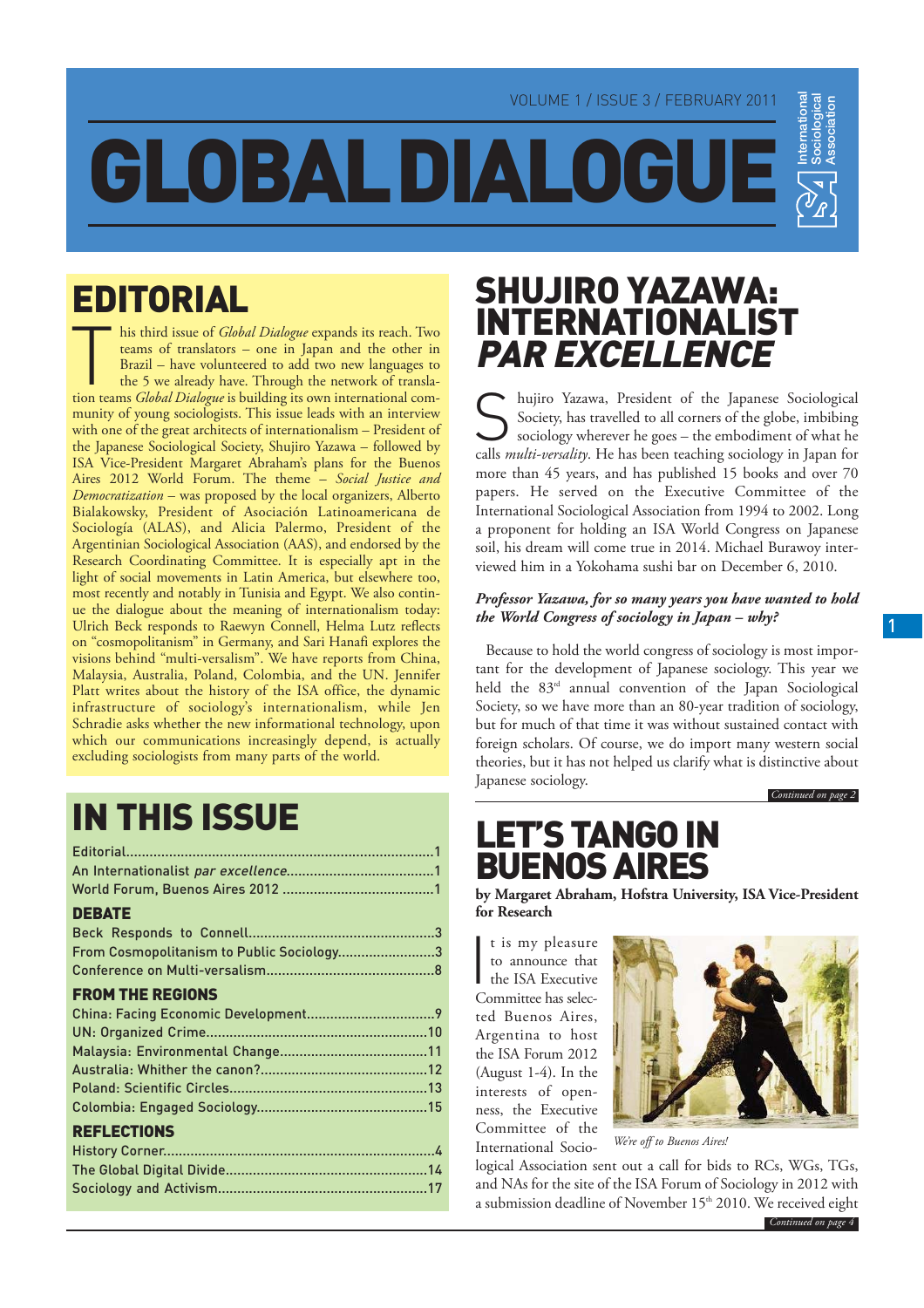

# GLOBALDIALOGU

# **EDITORIAL**

his third issue of *Global Dialogue* expands its reach. Two teams of translators – one in Japan and the other in Brazil – have volunteered to add two new languages to the 5 we already have. Through the network of translahis third issue of *Global Dialogue* expands its reach. Two<br>teams of translators – one in Japan and the other in<br>Brazil – have volunteered to add two new languages to<br>the 5 we already have. Through the network of transla-<br> munity of young sociologists. This issue leads with an interview with one of the great architects of internationalism – President of the Japanese Sociological Society, Shujiro Yazawa – followed by ISA Vice-President Margaret Abraham's plans for the Buenos Aires 2012 World Forum. The theme – *Social Justice and Democratization* – was proposed by the local organizers, Alberto Bialakowsky, President of Asociación Latinoamericana de Sociología (ALAS), and Alicia Palermo, President of the Argentinian Sociological Association (AAS), and endorsed by the Research Coordinating Committee. It is especially apt in the light of social movements in Latin America, but elsewhere too, most recently and notably in Tunisia and Egypt. We also continue the dialogue about the meaning of internationalism today: Ulrich Beck responds to Raewyn Connell, Helma Lutz reflects on "cosmopolitanism" in Germany, and Sari Hanafi explores the visions behind "multi-versalism". We have reports from China, Malaysia, Australia, Poland, Colombia, and the UN. Jennifer Platt writes about the history of the ISA office, the dynamic infrastructure of sociology's internationalism, while Jen Schradie asks whether the new informational technology, upon which our communications increasingly depend, is actually excluding sociologists from many parts of the world.

# IN THIS ISSUE

#### **DEBATE**

|  | From Cosmopolitanism to Public Sociology3 |  |
|--|-------------------------------------------|--|
|  |                                           |  |

#### FROM THE REGIONS

#### **REFLECTIONS**

# SHUJIRO YAZAWA: INTERNATIONALIST PAR EXCELLENCE

hujiro Yazawa, President of the Japanese Sociological<br>
Society, has travelled to all corners of the globe, imbibing<br>
sociology wherever he goes – the embodiment of what he<br>
calls *multi-versality*. He has been teaching soc Society, has travelled to all corners of the globe, imbibing sociology wherever he goes – the embodiment of what he calls *multi-versality*. He has been teaching sociology in Japan for more than 45 years, and has published 15 books and over 70 papers. He served on the Executive Committee of the International Sociological Association from 1994 to 2002. Long a proponent for holding an ISA World Congress on Japanese soil, his dream will come true in 2014. Michael Burawoy interviewed him in a Yokohama sushi bar on December 6, 2010.

#### *Professor Yazawa, for so many years you have wanted to hold the World Congress of sociology in Japan – why?*

Because to hold the world congress of sociology is most important for the development of Japanese sociology. This year we held the 83<sup>rd</sup> annual convention of the Japan Sociological Society, so we have more than an 80-year tradition of sociology, but for much of that time it was without sustained contact with foreign scholars. Of course, we do import many western social theories, but it has not helped us clarify what is distinctive about Japanese sociology.

*Continued on page 2*

# LET'S TANGO IN BUENOS AIRES

**by Margaret Abraham, Hofstra University, ISA Vice-President for Research**

t is my pleasure to announce that the ISA Executive t is my pleasure<br>to announce that<br>the ISA Executive<br>Committee has selected Buenos Aires, Argentina to host the ISA Forum 2012 (August 1-4). In the interests of openness, the Executive Committee of the International Socio-



*We're off to Buenos Aires!*

logical Association sent out a call for bids to RCs, WGs, TGs, and NAs for the site of the ISA Forum of Sociology in 2012 with a submission deadline of November 15<sup>th</sup> 2010. We received eight 1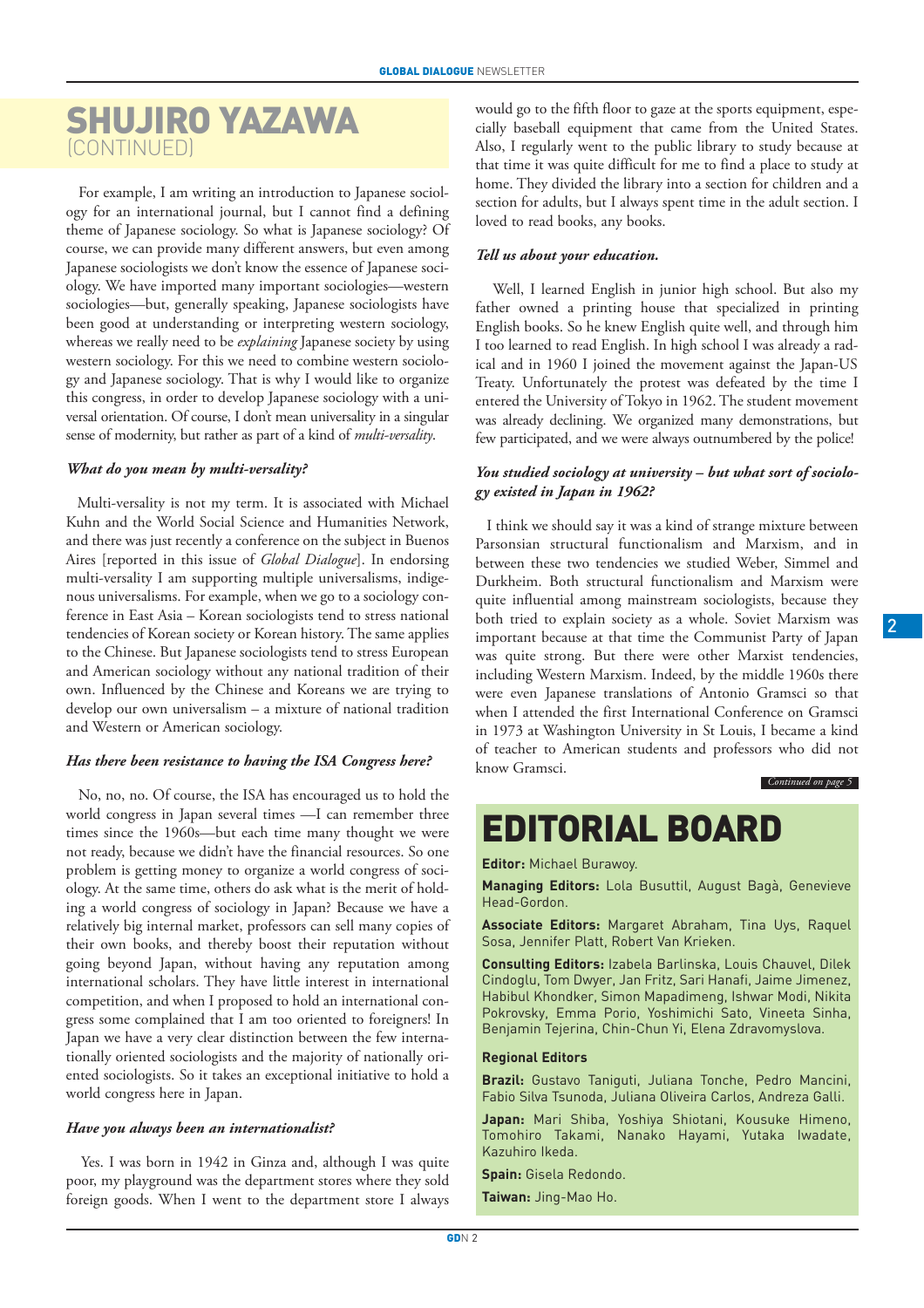### SHUJIRO YAZAWA (CONTINUED)

For example, I am writing an introduction to Japanese sociology for an international journal, but I cannot find a defining theme of Japanese sociology. So what is Japanese sociology? Of course, we can provide many different answers, but even among Japanese sociologists we don't know the essence of Japanese sociology. We have imported many important sociologies—western sociologies—but, generally speaking, Japanese sociologists have been good at understanding or interpreting western sociology, whereas we really need to be *explaining* Japanese society by using western sociology. For this we need to combine western sociology and Japanese sociology. That is why I would like to organize this congress, in order to develop Japanese sociology with a universal orientation. Of course, I don't mean universality in a singular sense of modernity, but rather as part of a kind of *multi-versality*.

#### *What do you mean by multi-versality?*

Multi-versality is not my term. It is associated with Michael Kuhn and the World Social Science and Humanities Network, and there was just recently a conference on the subject in Buenos Aires [reported in this issue of *Global Dialogue*]. In endorsing multi-versality I am supporting multiple universalisms, indigenous universalisms. For example, when we go to a sociology conference in East Asia – Korean sociologists tend to stress national tendencies of Korean society or Korean history. The same applies to the Chinese. But Japanese sociologists tend to stress European and American sociology without any national tradition of their own. Influenced by the Chinese and Koreans we are trying to develop our own universalism – a mixture of national tradition and Western or American sociology.

#### *Has there been resistance to having the ISA Congress here?*

No, no, no. Of course, the ISA has encouraged us to hold the world congress in Japan several times —I can remember three times since the 1960s—but each time many thought we were not ready, because we didn't have the financial resources. So one problem is getting money to organize a world congress of sociology. At the same time, others do ask what is the merit of holding a world congress of sociology in Japan? Because we have a relatively big internal market, professors can sell many copies of their own books, and thereby boost their reputation without going beyond Japan, without having any reputation among international scholars. They have little interest in international competition, and when I proposed to hold an international congress some complained that I am too oriented to foreigners! In Japan we have a very clear distinction between the few internationally oriented sociologists and the majority of nationally oriented sociologists. So it takes an exceptional initiative to hold a world congress here in Japan.

#### *Have you always been an internationalist?*

Yes. I was born in 1942 in Ginza and, although I was quite poor, my playground was the department stores where they sold foreign goods. When I went to the department store I always would go to the fifth floor to gaze at the sports equipment, especially baseball equipment that came from the United States. Also, I regularly went to the public library to study because at that time it was quite difficult for me to find a place to study at home. They divided the library into a section for children and a section for adults, but I always spent time in the adult section. I loved to read books, any books.

#### *Tell us about your education.*

Well, I learned English in junior high school. But also my father owned a printing house that specialized in printing English books. So he knew English quite well, and through him I too learned to read English. In high school I was already a radical and in 1960 I joined the movement against the Japan-US Treaty. Unfortunately the protest was defeated by the time I entered the University of Tokyo in 1962. The student movement was already declining. We organized many demonstrations, but few participated, and we were always outnumbered by the police!

#### *You studied sociology at university – but what sort of sociology existed in Japan in 1962?*

I think we should say it was a kind of strange mixture between Parsonsian structural functionalism and Marxism, and in between these two tendencies we studied Weber, Simmel and Durkheim. Both structural functionalism and Marxism were quite influential among mainstream sociologists, because they both tried to explain society as a whole. Soviet Marxism was important because at that time the Communist Party of Japan was quite strong. But there were other Marxist tendencies, including Western Marxism. Indeed, by the middle 1960s there were even Japanese translations of Antonio Gramsci so that when I attended the first International Conference on Gramsci in 1973 at Washington University in St Louis, I became a kind of teacher to American students and professors who did not know Gramsci.

#### *Continued on page 5*

# EDITORIAL BOARD

**Editor:** Michael Burawoy.

**Managing Editors:** Lola Busuttil, August Bagà, Genevieve Head-Gordon.

**Associate Editors:** Margaret Abraham, Tina Uys, Raquel Sosa, Jennifer Platt, Robert Van Krieken.

**Consulting Editors:** Izabela Barlinska, Louis Chauvel, Dilek Cindoglu, Tom Dwyer, Jan Fritz, Sari Hanafi, Jaime Jimenez, Habibul Khondker, Simon Mapadimeng, Ishwar Modi, Nikita Pokrovsky, Emma Porio, Yoshimichi Sato, Vineeta Sinha, Benjamin Tejerina, Chin-Chun Yi, Elena Zdravomyslova.

#### **Regional Editors**

**Brazil:** Gustavo Taniguti, Juliana Tonche, Pedro Mancini, Fabio Silva Tsunoda, Juliana Oliveira Carlos, Andreza Galli.

**Japan:** Mari Shiba, Yoshiya Shiotani, Kousuke Himeno, Tomohiro Takami, Nanako Hayami, Yutaka Iwadate, Kazuhiro Ikeda.

**Spain:** Gisela Redondo.

**Taiwan:** Jing-Mao Ho.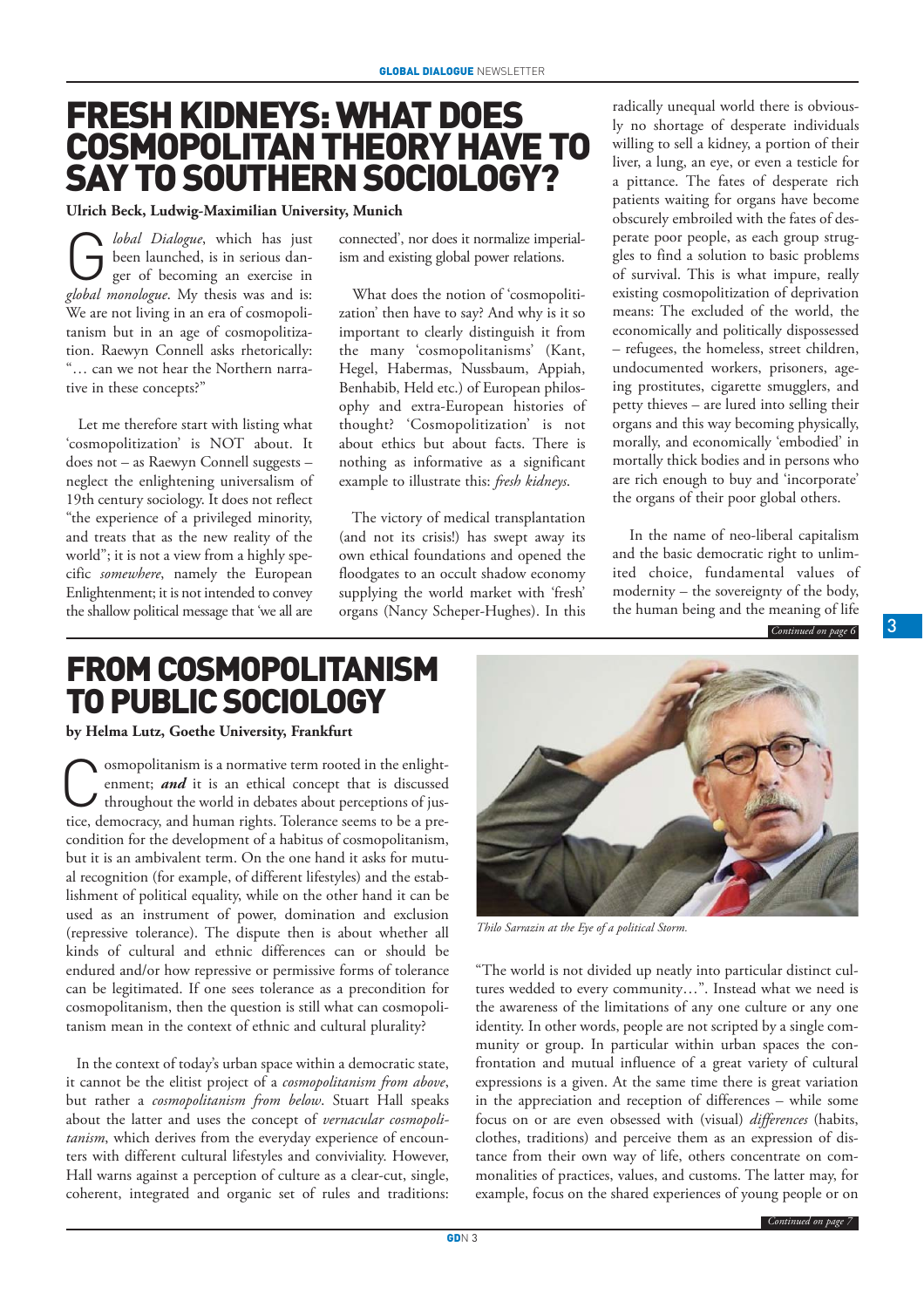# FRESH KIDNEYS: WHAT DOES COSMOPOLITAN THEORY HAVE TO SAY TO SOUTHERN SOCIOLOGY?

**Ulrich Beck, Ludwig-Maximilian University, Munich**

*lobal Dialogue*, which has just been launched, is in serious danger of becoming an exercise in *lobal Dialogue*, which has just<br>been launched, is in serious dan-<br>ger of becoming an exercise in<br>global monologue. My thesis was and is: We are not living in an era of cosmopolitanism but in an age of cosmopolitization. Raewyn Connell asks rhetorically: "… can we not hear the Northern narrative in these concepts?"

Let me therefore start with listing what 'cosmopolitization' is NOT about. It does not – as Raewyn Connell suggests – neglect the enlightening universalism of 19th century sociology. It does not reflect "the experience of a privileged minority, and treats that as the new reality of the world"; it is not a view from a highly specific *somewhere*, namely the European Enlightenment; it is not intended to convey the shallow political message that 'we all are

connected', nor does it normalize imperialism and existing global power relations.

What does the notion of 'cosmopolitization' then have to say? And why is it so important to clearly distinguish it from the many 'cosmopolitanisms' (Kant, Hegel, Habermas, Nussbaum, Appiah, Benhabib, Held etc.) of European philosophy and extra-European histories of thought? 'Cosmopolitization' is not about ethics but about facts. There is nothing as informative as a significant example to illustrate this: *fresh kidneys*.

The victory of medical transplantation (and not its crisis!) has swept away its own ethical foundations and opened the floodgates to an occult shadow economy supplying the world market with 'fresh' organs (Nancy Scheper-Hughes). In this

radically unequal world there is obviously no shortage of desperate individuals willing to sell a kidney, a portion of their liver, a lung, an eye, or even a testicle for a pittance. The fates of desperate rich patients waiting for organs have become obscurely embroiled with the fates of desperate poor people, as each group struggles to find a solution to basic problems of survival. This is what impure, really existing cosmopolitization of deprivation means: The excluded of the world, the economically and politically dispossessed – refugees, the homeless, street children, undocumented workers, prisoners, ageing prostitutes, cigarette smugglers, and petty thieves – are lured into selling their organs and this way becoming physically, morally, and economically 'embodied' in mortally thick bodies and in persons who are rich enough to buy and 'incorporate' the organs of their poor global others.

In the name of neo-liberal capitalism and the basic democratic right to unlimited choice, fundamental values of modernity – the sovereignty of the body, the human being and the meaning of life *Continued on page 6*

# FROM COSMOPOLITANISM TO PUBLIC SOCIOLOGY

**by Helma Lutz, Goethe University, Frankfurt**

osmopolitanism is a normative term rooted in the enlightenment; *and* it is an ethical concept that is discussed throughout the world in debates about perceptions of jus-**C** osmopolitanism is a normative term rooted in the enlight-<br>enment; **and** it is an ethical concept that is discussed<br>throughout the world in debates about perceptions of jus-<br>tice, democracy, and human rights. Tolerance condition for the development of a habitus of cosmopolitanism, but it is an ambivalent term. On the one hand it asks for mutual recognition (for example, of different lifestyles) and the establishment of political equality, while on the other hand it can be used as an instrument of power, domination and exclusion (repressive tolerance). The dispute then is about whether all kinds of cultural and ethnic differences can or should be endured and/or how repressive or permissive forms of tolerance can be legitimated. If one sees tolerance as a precondition for cosmopolitanism, then the question is still what can cosmopolitanism mean in the context of ethnic and cultural plurality?

In the context of today's urban space within a democratic state, it cannot be the elitist project of a *cosmopolitanism from above*, but rather a *cosmopolitanism from below*. Stuart Hall speaks about the latter and uses the concept of *vernacular cosmopolitanism*, which derives from the everyday experience of encounters with different cultural lifestyles and conviviality. However, Hall warns against a perception of culture as a clear-cut, single, coherent, integrated and organic set of rules and traditions:



*Thilo Sarrazin at the Eye of a political Storm.*

"The world is not divided up neatly into particular distinct cultures wedded to every community…". Instead what we need is the awareness of the limitations of any one culture or any one identity. In other words, people are not scripted by a single community or group. In particular within urban spaces the confrontation and mutual influence of a great variety of cultural expressions is a given. At the same time there is great variation in the appreciation and reception of differences – while some focus on or are even obsessed with (visual) *differences* (habits, clothes, traditions) and perceive them as an expression of distance from their own way of life, others concentrate on commonalities of practices, values, and customs. The latter may, for example, focus on the shared experiences of young people or on

3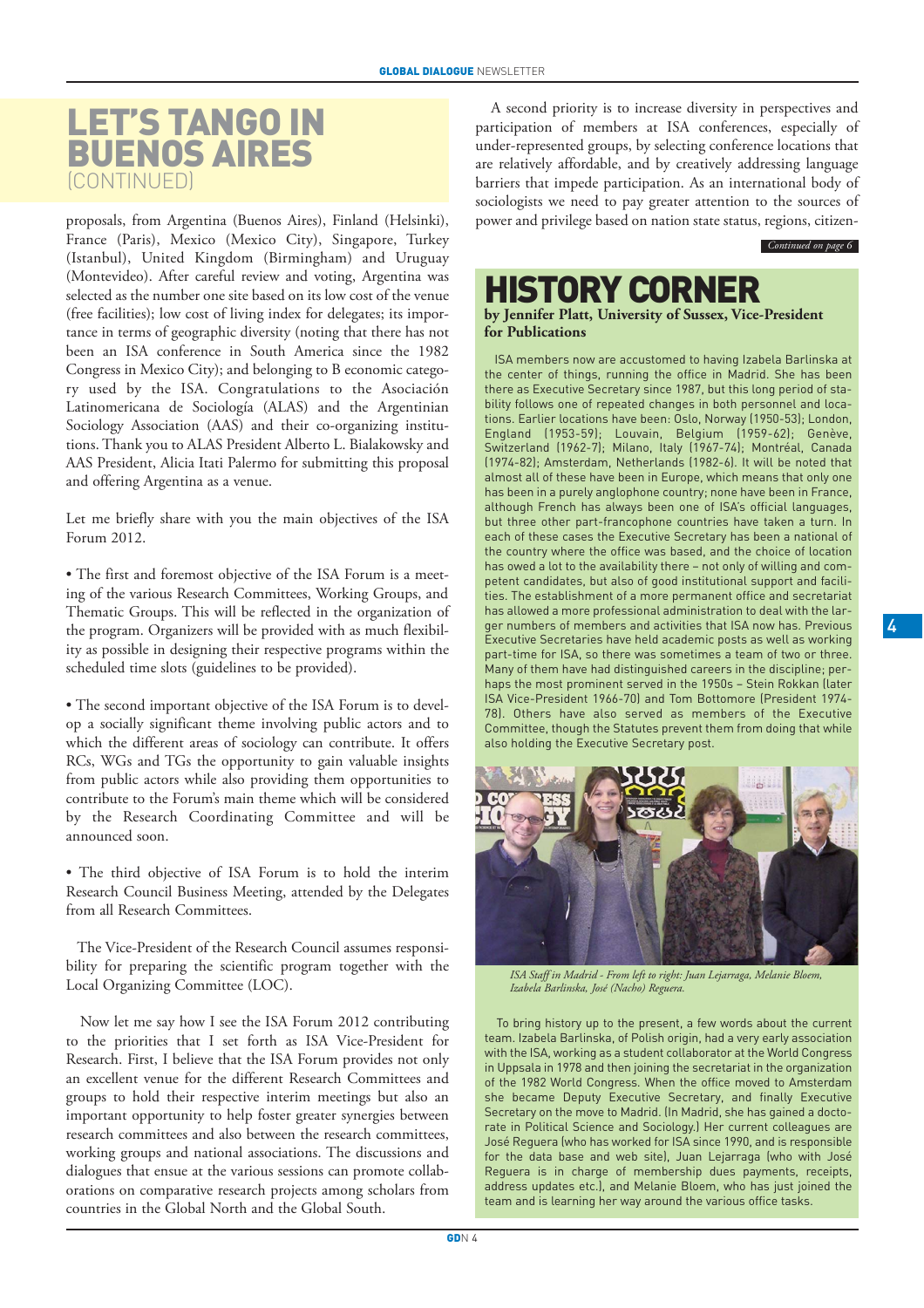# LET'S TANGO IN **BUENOS AIRES** (CONTINUED)

proposals, from Argentina (Buenos Aires), Finland (Helsinki), France (Paris), Mexico (Mexico City), Singapore, Turkey (Istanbul), United Kingdom (Birmingham) and Uruguay (Montevideo). After careful review and voting, Argentina was selected as the number one site based on its low cost of the venue (free facilities); low cost of living index for delegates; its importance in terms of geographic diversity (noting that there has not been an ISA conference in South America since the 1982 Congress in Mexico City); and belonging to B economic category used by the ISA. Congratulations to the Asociación Latinomericana de Sociología (ALAS) and the Argentinian Sociology Association (AAS) and their co-organizing institutions. Thank you to ALAS President Alberto L. Bialakowsky and AAS President, Alicia Itati Palermo for submitting this proposal and offering Argentina as a venue.

Let me briefly share with you the main objectives of the ISA Forum 2012.

• The first and foremost objective of the ISA Forum is a meeting of the various Research Committees, Working Groups, and Thematic Groups. This will be reflected in the organization of the program. Organizers will be provided with as much flexibility as possible in designing their respective programs within the scheduled time slots (guidelines to be provided).

• The second important objective of the ISA Forum is to develop a socially significant theme involving public actors and to which the different areas of sociology can contribute. It offers RCs, WGs and TGs the opportunity to gain valuable insights from public actors while also providing them opportunities to contribute to the Forum's main theme which will be considered by the Research Coordinating Committee and will be announced soon.

• The third objective of ISA Forum is to hold the interim Research Council Business Meeting, attended by the Delegates from all Research Committees.

The Vice-President of the Research Council assumes responsibility for preparing the scientific program together with the Local Organizing Committee (LOC).

Now let me say how I see the ISA Forum 2012 contributing to the priorities that I set forth as ISA Vice-President for Research. First, I believe that the ISA Forum provides not only an excellent venue for the different Research Committees and groups to hold their respective interim meetings but also an important opportunity to help foster greater synergies between research committees and also between the research committees, working groups and national associations. The discussions and dialogues that ensue at the various sessions can promote collaborations on comparative research projects among scholars from countries in the Global North and the Global South.

A second priority is to increase diversity in perspectives and participation of members at ISA conferences, especially of under-represented groups, by selecting conference locations that are relatively affordable, and by creatively addressing language barriers that impede participation. As an international body of sociologists we need to pay greater attention to the sources of power and privilege based on nation state status, regions, citizen-

#### *Continued on page 6*

# HISTORY CORNER

**by Jennifer Platt, University of Sussex, Vice-President for Publications**

ISA members now are accustomed to having Izabela Barlinska at the center of things, running the office in Madrid. She has been there as Executive Secretary since 1987, but this long period of stability follows one of repeated changes in both personnel and locations. Earlier locations have been: Oslo, Norway (1950-53); London, England (1953-59); Louvain, Belgium (1959-62); Genève, Switzerland (1962-7); Milano, Italy (1967-74); Montréal, Canada (1974-82); Amsterdam, Netherlands (1982-6). It will be noted that almost all of these have been in Europe, which means that only one has been in a purely anglophone country; none have been in France, although French has always been one of ISA's official languages, but three other part-francophone countries have taken a turn. In each of these cases the Executive Secretary has been a national of the country where the office was based, and the choice of location has owed a lot to the availability there – not only of willing and competent candidates, but also of good institutional support and facilities. The establishment of a more permanent office and secretariat has allowed a more professional administration to deal with the larger numbers of members and activities that ISA now has. Previous Executive Secretaries have held academic posts as well as working part-time for ISA, so there was sometimes a team of two or three. Many of them have had distinguished careers in the discipline; perhaps the most prominent served in the 1950s – Stein Rokkan (later ISA Vice-President 1966-70) and Tom Bottomore (President 1974- 78). Others have also served as members of the Executive Committee, though the Statutes prevent them from doing that while also holding the Executive Secretary post.



*ISA Staff in Madrid - From left to right: Juan Lejarraga, Melanie Bloem, Izabela Barlinska, José (Nacho) Reguera.*

To bring history up to the present, a few words about the current team. Izabela Barlinska, of Polish origin, had a very early association with the ISA, working as a student collaborator at the World Congress in Uppsala in 1978 and then joining the secretariat in the organization of the 1982 World Congress. When the office moved to Amsterdam she became Deputy Executive Secretary, and finally Executive Secretary on the move to Madrid. (In Madrid, she has gained a doctorate in Political Science and Sociology.) Her current colleagues are José Reguera (who has worked for ISA since 1990, and is responsible for the data base and web site), Juan Lejarraga (who with José Reguera is in charge of membership dues payments, receipts, address updates etc.), and Melanie Bloem, who has just joined the team and is learning her way around the various office tasks.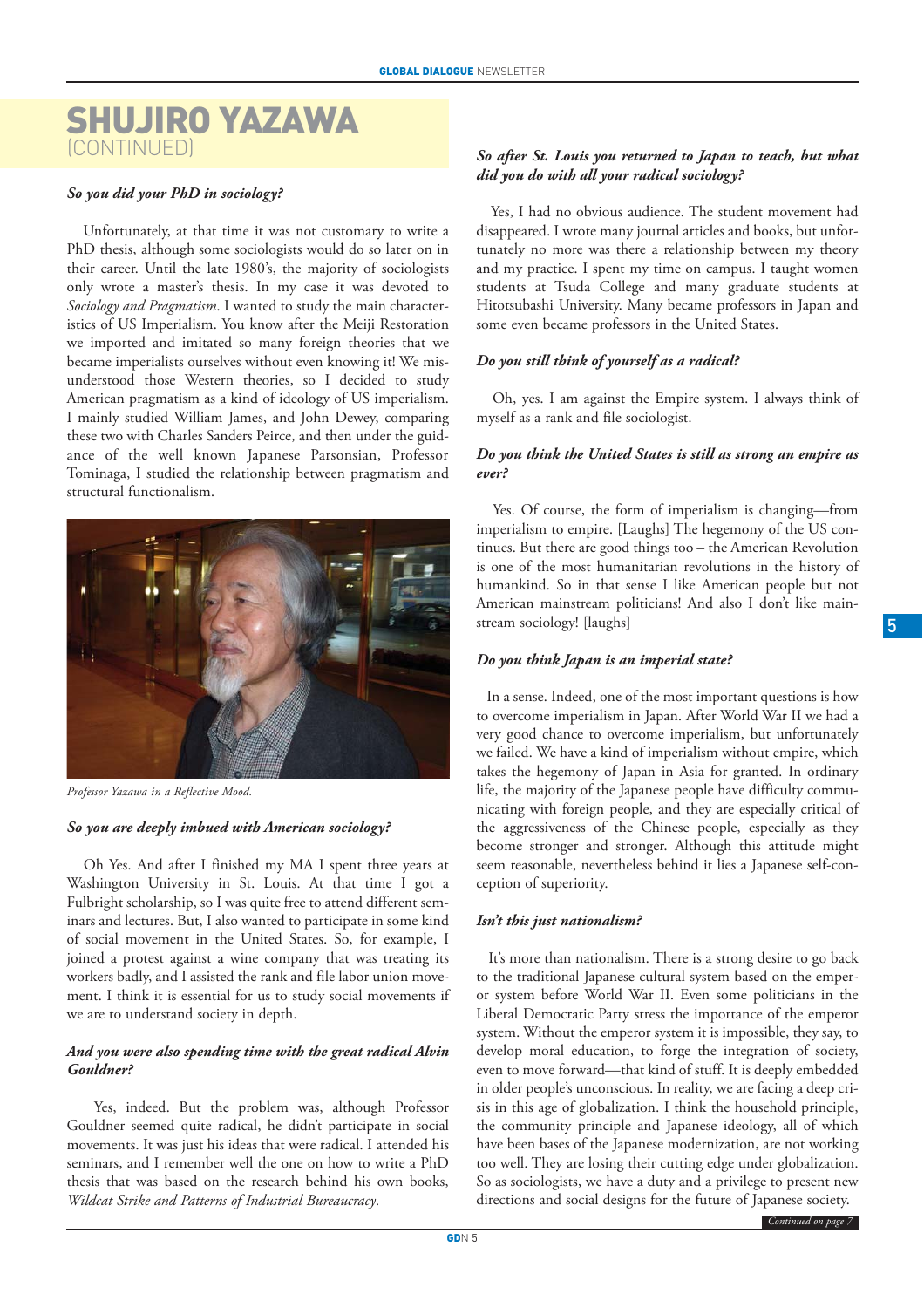### SHUJIRO YAZAWA (CONTINUED)

#### *So you did your PhD in sociology?*

Unfortunately, at that time it was not customary to write a PhD thesis, although some sociologists would do so later on in their career. Until the late 1980's, the majority of sociologists only wrote a master's thesis. In my case it was devoted to *Sociology and Pragmatism*. I wanted to study the main characteristics of US Imperialism. You know after the Meiji Restoration we imported and imitated so many foreign theories that we became imperialists ourselves without even knowing it! We misunderstood those Western theories, so I decided to study American pragmatism as a kind of ideology of US imperialism. I mainly studied William James, and John Dewey, comparing these two with Charles Sanders Peirce, and then under the guidance of the well known Japanese Parsonsian, Professor Tominaga, I studied the relationship between pragmatism and structural functionalism.



*Professor Yazawa in a Reflective Mood.*

#### *So you are deeply imbued with American sociology?*

Oh Yes. And after I finished my MA I spent three years at Washington University in St. Louis. At that time I got a Fulbright scholarship, so I was quite free to attend different seminars and lectures. But, I also wanted to participate in some kind of social movement in the United States. So, for example, I joined a protest against a wine company that was treating its workers badly, and I assisted the rank and file labor union movement. I think it is essential for us to study social movements if we are to understand society in depth.

#### *And you were also spending time with the great radical Alvin Gouldner?*

Yes, indeed. But the problem was, although Professor Gouldner seemed quite radical, he didn't participate in social movements. It was just his ideas that were radical. I attended his seminars, and I remember well the one on how to write a PhD thesis that was based on the research behind his own books, *Wildcat Strike and Patterns of Industrial Bureaucracy*.

#### *So after St. Louis you returned to Japan to teach, but what did you do with all your radical sociology?*

Yes, I had no obvious audience. The student movement had disappeared. I wrote many journal articles and books, but unfortunately no more was there a relationship between my theory and my practice. I spent my time on campus. I taught women students at Tsuda College and many graduate students at Hitotsubashi University. Many became professors in Japan and some even became professors in the United States.

#### *Do you still think of yourself as a radical?*

Oh, yes. I am against the Empire system. I always think of myself as a rank and file sociologist.

#### *Do you think the United States is still as strong an empire as ever?*

Yes. Of course, the form of imperialism is changing—from imperialism to empire. [Laughs] The hegemony of the US continues. But there are good things too – the American Revolution is one of the most humanitarian revolutions in the history of humankind. So in that sense I like American people but not American mainstream politicians! And also I don't like mainstream sociology! [laughs]

#### *Do you think Japan is an imperial state?*

In a sense. Indeed, one of the most important questions is how to overcome imperialism in Japan. After World War II we had a very good chance to overcome imperialism, but unfortunately we failed. We have a kind of imperialism without empire, which takes the hegemony of Japan in Asia for granted. In ordinary life, the majority of the Japanese people have difficulty communicating with foreign people, and they are especially critical of the aggressiveness of the Chinese people, especially as they become stronger and stronger. Although this attitude might seem reasonable, nevertheless behind it lies a Japanese self-conception of superiority.

#### *Isn't this just nationalism?*

It's more than nationalism. There is a strong desire to go back to the traditional Japanese cultural system based on the emperor system before World War II. Even some politicians in the Liberal Democratic Party stress the importance of the emperor system. Without the emperor system it is impossible, they say, to develop moral education, to forge the integration of society, even to move forward—that kind of stuff. It is deeply embedded in older people's unconscious. In reality, we are facing a deep crisis in this age of globalization. I think the household principle, the community principle and Japanese ideology, all of which have been bases of the Japanese modernization, are not working too well. They are losing their cutting edge under globalization. So as sociologists, we have a duty and a privilege to present new directions and social designs for the future of Japanese society.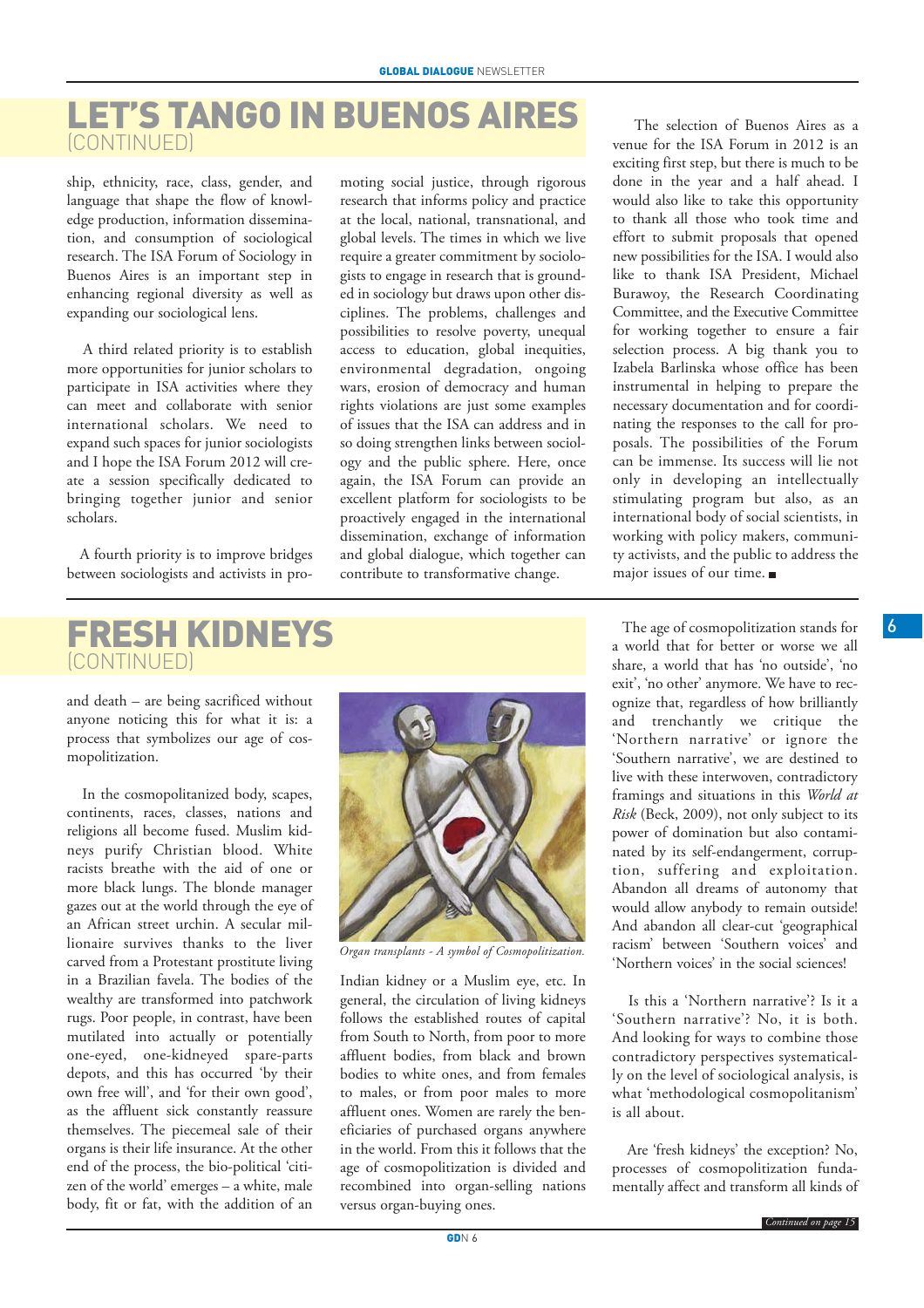### LET'S TANGO IN BUENOS AIRES (CONTINUED)

ship, ethnicity, race, class, gender, and language that shape the flow of knowledge production, information dissemination, and consumption of sociological research. The ISA Forum of Sociology in Buenos Aires is an important step in enhancing regional diversity as well as expanding our sociological lens.

A third related priority is to establish more opportunities for junior scholars to participate in ISA activities where they can meet and collaborate with senior international scholars. We need to expand such spaces for junior sociologists and I hope the ISA Forum 2012 will create a session specifically dedicated to bringing together junior and senior scholars.

A fourth priority is to improve bridges between sociologists and activists in pro-

moting social justice, through rigorous research that informs policy and practice at the local, national, transnational, and global levels. The times in which we live require a greater commitment by sociologists to engage in research that is grounded in sociology but draws upon other disciplines. The problems, challenges and possibilities to resolve poverty, unequal access to education, global inequities, environmental degradation, ongoing wars, erosion of democracy and human rights violations are just some examples of issues that the ISA can address and in so doing strengthen links between sociology and the public sphere. Here, once again, the ISA Forum can provide an excellent platform for sociologists to be proactively engaged in the international dissemination, exchange of information and global dialogue, which together can contribute to transformative change.

The selection of Buenos Aires as a venue for the ISA Forum in 2012 is an exciting first step, but there is much to be done in the year and a half ahead. I would also like to take this opportunity to thank all those who took time and effort to submit proposals that opened new possibilities for the ISA. I would also like to thank ISA President, Michael Burawoy, the Research Coordinating Committee, and the Executive Committee for working together to ensure a fair selection process. A big thank you to Izabela Barlinska whose office has been instrumental in helping to prepare the necessary documentation and for coordinating the responses to the call for proposals. The possibilities of the Forum can be immense. Its success will lie not only in developing an intellectually stimulating program but also, as an international body of social scientists, in working with policy makers, community activists, and the public to address the major issues of our time.

## FRESH KIDNEYS (CONTINUED)

and death – are being sacrificed without anyone noticing this for what it is: a process that symbolizes our age of cosmopolitization.

In the cosmopolitanized body, scapes, continents, races, classes, nations and religions all become fused. Muslim kidneys purify Christian blood. White racists breathe with the aid of one or more black lungs. The blonde manager gazes out at the world through the eye of an African street urchin. A secular millionaire survives thanks to the liver carved from a Protestant prostitute living in a Brazilian favela. The bodies of the wealthy are transformed into patchwork rugs. Poor people, in contrast, have been mutilated into actually or potentially one-eyed, one-kidneyed spare-parts depots, and this has occurred 'by their own free will', and 'for their own good', as the affluent sick constantly reassure themselves. The piecemeal sale of their organs is their life insurance. At the other end of the process, the bio-political 'citizen of the world' emerges – a white, male body, fit or fat, with the addition of an



*Organ transplants - A symbol of Cosmopolitization.*

Indian kidney or a Muslim eye, etc. In general, the circulation of living kidneys follows the established routes of capital from South to North, from poor to more affluent bodies, from black and brown bodies to white ones, and from females to males, or from poor males to more affluent ones. Women are rarely the beneficiaries of purchased organs anywhere in the world. From this it follows that the age of cosmopolitization is divided and recombined into organ-selling nations versus organ-buying ones.

The age of cosmopolitization stands for a world that for better or worse we all share, a world that has 'no outside', 'no exit', 'no other' anymore. We have to recognize that, regardless of how brilliantly and trenchantly we critique the 'Northern narrative' or ignore the 'Southern narrative', we are destined to live with these interwoven, contradictory framings and situations in this *World at Risk* (Beck, 2009), not only subject to its power of domination but also contaminated by its self-endangerment, corruption, suffering and exploitation. Abandon all dreams of autonomy that would allow anybody to remain outside! And abandon all clear-cut 'geographical racism' between 'Southern voices' and 'Northern voices' in the social sciences!

Is this a 'Northern narrative'? Is it a 'Southern narrative'? No, it is both. And looking for ways to combine those contradictory perspectives systematically on the level of sociological analysis, is what 'methodological cosmopolitanism' is all about.

Are 'fresh kidneys' the exception? No, processes of cosmopolitization fundamentally affect and transform all kinds of 6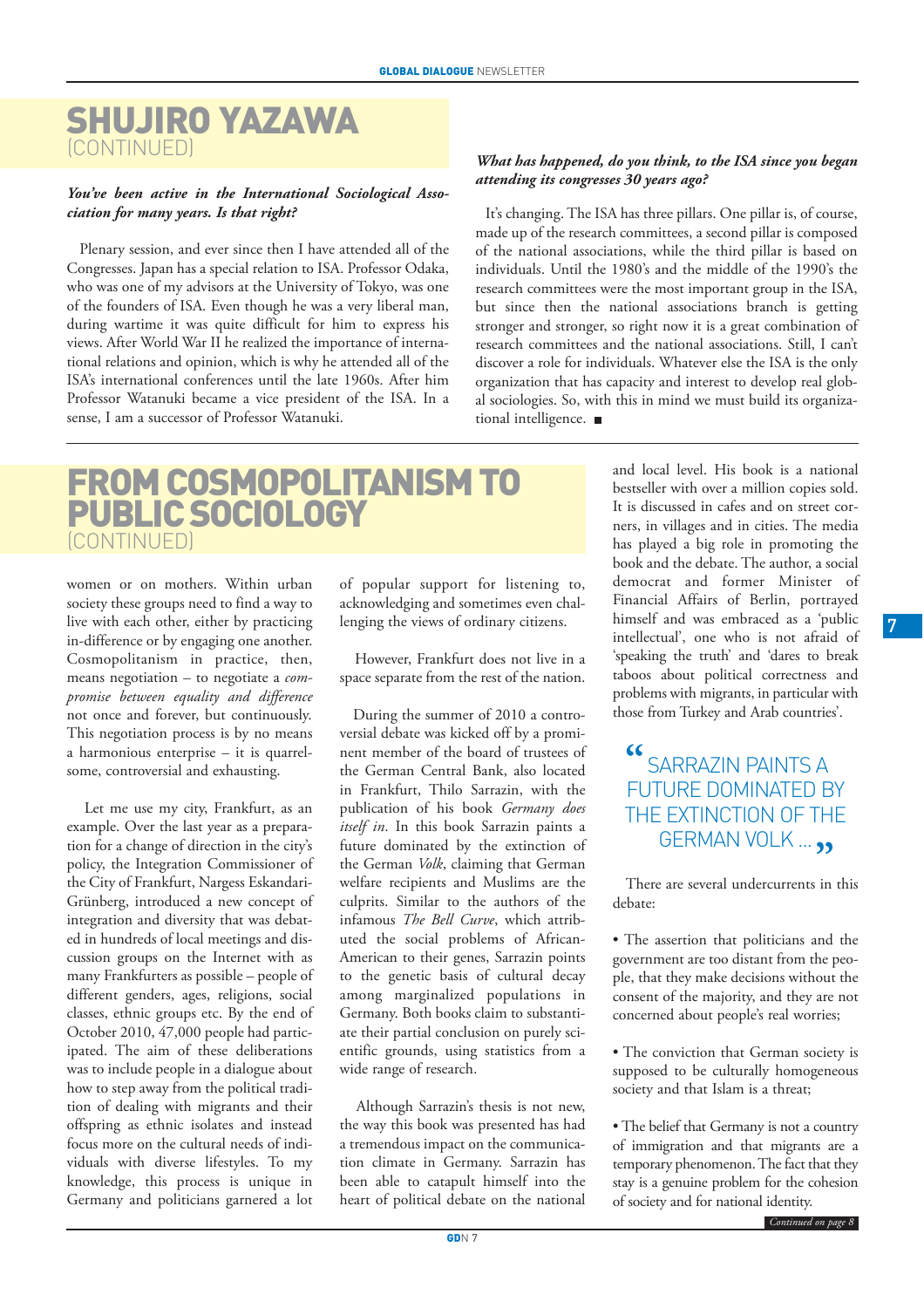### SHUJIRO YAZAWA (CONTINUED)

#### *You've been active in the International Sociological Association for many years. Is that right?*

Plenary session, and ever since then I have attended all of the Congresses. Japan has a special relation to ISA. Professor Odaka, who was one of my advisors at the University of Tokyo, was one of the founders of ISA. Even though he was a very liberal man, during wartime it was quite difficult for him to express his views. After World War II he realized the importance of international relations and opinion, which is why he attended all of the ISA's international conferences until the late 1960s. After him Professor Watanuki became a vice president of the ISA. In a sense, I am a successor of Professor Watanuki.

#### *What has happened, do you think, to the ISA since you began attending its congresses 30 years ago?*

It's changing. The ISA has three pillars. One pillar is, of course, made up of the research committees, a second pillar is composed of the national associations, while the third pillar is based on individuals. Until the 1980's and the middle of the 1990's the research committees were the most important group in the ISA, but since then the national associations branch is getting stronger and stronger, so right now it is a great combination of research committees and the national associations. Still, I can't discover a role for individuals. Whatever else the ISA is the only organization that has capacity and interest to develop real global sociologies. So, with this in mind we must build its organizational intelligence.

### **FROM COSMOPOLITANISM T** PUBLIC SOCIOLOGY (CONTINUED)

women or on mothers. Within urban society these groups need to find a way to live with each other, either by practicing in-difference or by engaging one another. Cosmopolitanism in practice, then, means negotiation – to negotiate a *compromise between equality and difference* not once and forever, but continuously. This negotiation process is by no means a harmonious enterprise – it is quarrelsome, controversial and exhausting.

Let me use my city, Frankfurt, as an example. Over the last year as a preparation for a change of direction in the city's policy, the Integration Commissioner of the City of Frankfurt, Nargess Eskandari-Grünberg, introduced a new concept of integration and diversity that was debated in hundreds of local meetings and discussion groups on the Internet with as many Frankfurters as possible – people of different genders, ages, religions, social classes, ethnic groups etc. By the end of October 2010, 47,000 people had participated. The aim of these deliberations was to include people in a dialogue about how to step away from the political tradition of dealing with migrants and their offspring as ethnic isolates and instead focus more on the cultural needs of individuals with diverse lifestyles. To my knowledge, this process is unique in Germany and politicians garnered a lot

of popular support for listening to, acknowledging and sometimes even challenging the views of ordinary citizens.

However, Frankfurt does not live in a space separate from the rest of the nation.

During the summer of 2010 a controversial debate was kicked off by a prominent member of the board of trustees of the German Central Bank, also located in Frankfurt, Thilo Sarrazin, with the publication of his book *Germany does itself in*. In this book Sarrazin paints a future dominated by the extinction of the German *Volk*, claiming that German welfare recipients and Muslims are the culprits. Similar to the authors of the infamous *The Bell Curve*, which attributed the social problems of African-American to their genes, Sarrazin points to the genetic basis of cultural decay among marginalized populations in Germany. Both books claim to substantiate their partial conclusion on purely scientific grounds, using statistics from a wide range of research.

Although Sarrazin's thesis is not new, the way this book was presented has had a tremendous impact on the communication climate in Germany. Sarrazin has been able to catapult himself into the heart of political debate on the national

and local level. His book is a national bestseller with over a million copies sold. It is discussed in cafes and on street corners, in villages and in cities. The media has played a big role in promoting the book and the debate. The author, a social democrat and former Minister of Financial Affairs of Berlin, portrayed himself and was embraced as a 'public intellectual', one who is not afraid of 'speaking the truth' and 'dares to break taboos about political correctness and problems with migrants, in particular with those from Turkey and Arab countries'.

### SARRAZIN PAINTS A FUTURE DOMINATED BY THE EXTINCTION OF THE GERMAN VOLK ... **""**

There are several undercurrents in this debate:

• The assertion that politicians and the government are too distant from the people, that they make decisions without the consent of the majority, and they are not concerned about people's real worries;

• The conviction that German society is supposed to be culturally homogeneous society and that Islam is a threat;

• The belief that Germany is not a country of immigration and that migrants are a temporary phenomenon. The fact that they stay is a genuine problem for the cohesion of society and for national identity.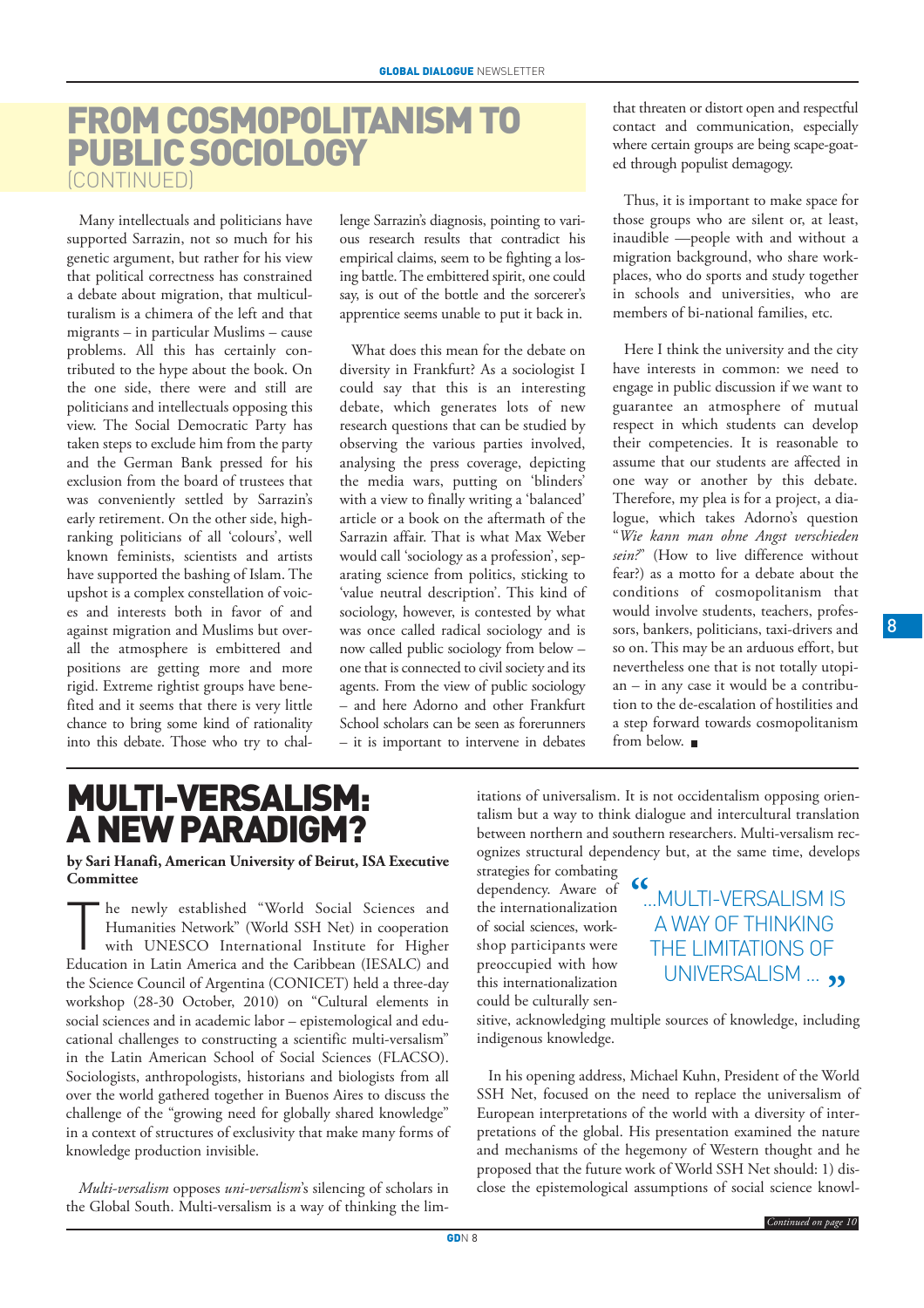### FROM COSMOPOLITANISM TO PUBLIC SOCIOLOGY (CONTINUED)

Many intellectuals and politicians have supported Sarrazin, not so much for his genetic argument, but rather for his view that political correctness has constrained a debate about migration, that multiculturalism is a chimera of the left and that migrants – in particular Muslims – cause problems. All this has certainly contributed to the hype about the book. On the one side, there were and still are politicians and intellectuals opposing this view. The Social Democratic Party has taken steps to exclude him from the party and the German Bank pressed for his exclusion from the board of trustees that was conveniently settled by Sarrazin's early retirement. On the other side, highranking politicians of all 'colours', well known feminists, scientists and artists have supported the bashing of Islam. The upshot is a complex constellation of voices and interests both in favor of and against migration and Muslims but overall the atmosphere is embittered and positions are getting more and more rigid. Extreme rightist groups have benefited and it seems that there is very little chance to bring some kind of rationality into this debate. Those who try to challenge Sarrazin's diagnosis, pointing to various research results that contradict his empirical claims, seem to be fighting a losing battle. The embittered spirit, one could say, is out of the bottle and the sorcerer's apprentice seems unable to put it back in.

What does this mean for the debate on diversity in Frankfurt? As a sociologist I could say that this is an interesting debate, which generates lots of new research questions that can be studied by observing the various parties involved, analysing the press coverage, depicting the media wars, putting on 'blinders' with a view to finally writing a 'balanced' article or a book on the aftermath of the Sarrazin affair. That is what Max Weber would call 'sociology as a profession', separating science from politics, sticking to 'value neutral description'. This kind of sociology, however, is contested by what was once called radical sociology and is now called public sociology from below – one that is connected to civil society and its agents. From the view of public sociology – and here Adorno and other Frankfurt School scholars can be seen as forerunners – it is important to intervene in debates

that threaten or distort open and respectful contact and communication, especially where certain groups are being scape-goated through populist demagogy.

Thus, it is important to make space for those groups who are silent or, at least, inaudible —people with and without a migration background, who share workplaces, who do sports and study together in schools and universities, who are members of bi-national families, etc.

Here I think the university and the city have interests in common: we need to engage in public discussion if we want to guarantee an atmosphere of mutual respect in which students can develop their competencies. It is reasonable to assume that our students are affected in one way or another by this debate. Therefore, my plea is for a project, a dialogue, which takes Adorno's question "*Wie kann man ohne Angst verschieden sein?*" (How to live difference without fear?) as a motto for a debate about the conditions of cosmopolitanism that would involve students, teachers, professors, bankers, politicians, taxi-drivers and so on. This may be an arduous effort, but nevertheless one that is not totally utopian – in any case it would be a contribution to the de-escalation of hostilities and a step forward towards cosmopolitanism from below.

# MULTI-VERSALISM: A NEW PARADIGM?

**by Sari Hanafi, American University of Beirut, ISA Executive Committee**

he newly established "World Social Sciences and Humanities Network" (World SSH Net) in cooperation with UNESCO International Institute for Higher The newly established "World Social Sciences and Humanities Network" (World SSH Net) in cooperation with UNESCO International Institute for Higher Education in Latin America and the Caribbean (IESALC) and the Science Council of Argentina (CONICET) held a three-day workshop (28-30 October, 2010) on "Cultural elements in social sciences and in academic labor – epistemological and educational challenges to constructing a scientific multi-versalism" in the Latin American School of Social Sciences (FLACSO). Sociologists, anthropologists, historians and biologists from all over the world gathered together in Buenos Aires to discuss the challenge of the "growing need for globally shared knowledge" in a context of structures of exclusivity that make many forms of knowledge production invisible.

*Multi-versalism* opposes *uni-versalism*'s silencing of scholars in the Global South. Multi-versalism is a way of thinking the limitations of universalism. It is not occidentalism opposing orientalism but a way to think dialogue and intercultural translation between northern and southern researchers. Multi-versalism recognizes structural dependency but, at the same time, develops

strategies for combating dependency. Aware of the internationalization of social sciences, workshop participants were preoccupied with how this internationalization could be culturally sen-

...MULTI-VERSALISM IS **"** A WAY OF THINKING THE LIMITATIONS OF UNIVERSALISM ... **"**

sitive, acknowledging multiple sources of knowledge, including indigenous knowledge.

In his opening address, Michael Kuhn, President of the World SSH Net, focused on the need to replace the universalism of European interpretations of the world with a diversity of interpretations of the global. His presentation examined the nature and mechanisms of the hegemony of Western thought and he proposed that the future work of World SSH Net should: 1) disclose the epistemological assumptions of social science knowl-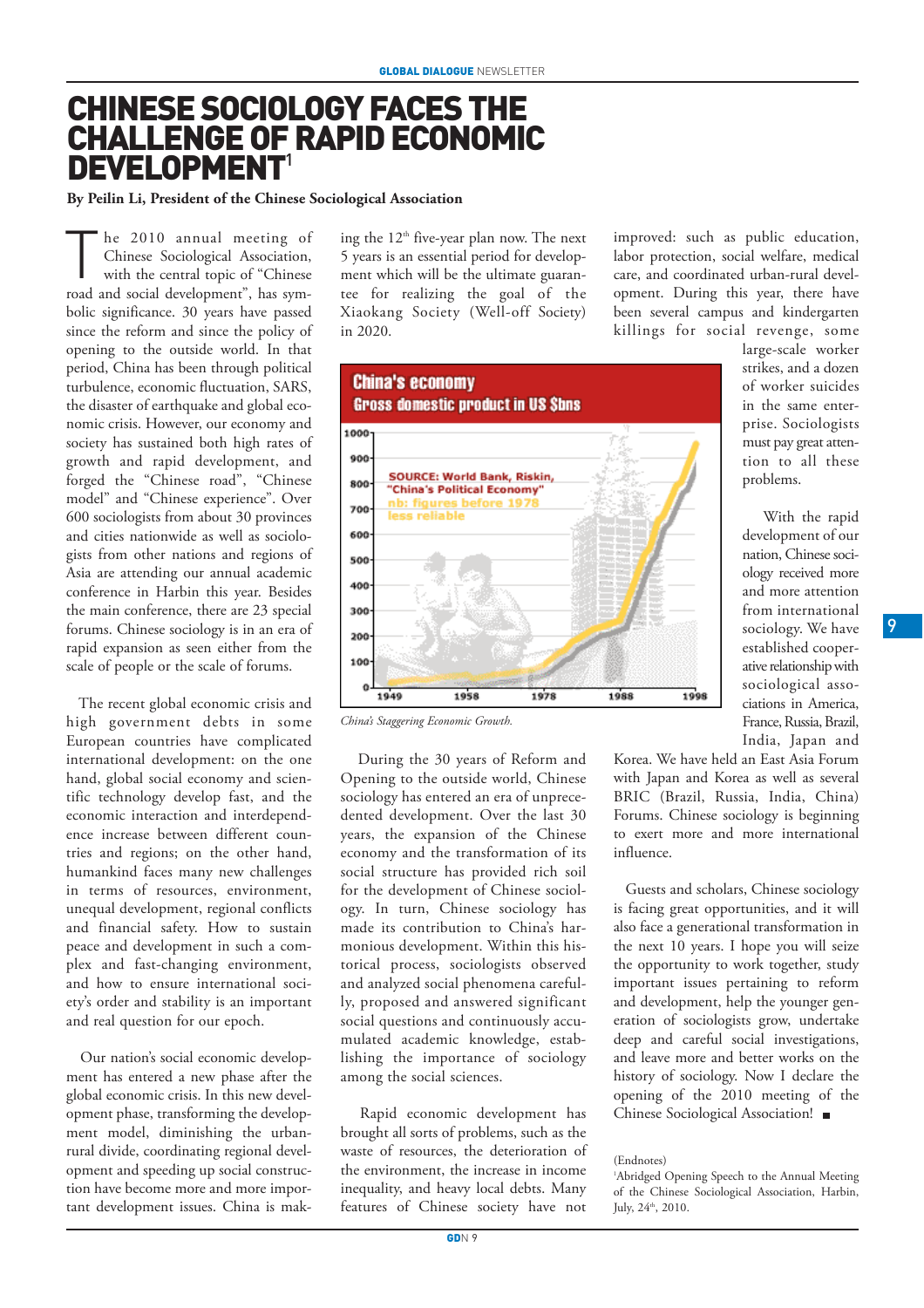## CHINESE SOCIOLOGY FACES THE CHALLENGE OF RAPID ECONOMIC DEVELOPMENT<sup>1</sup>

#### **By Peilin Li, President of the Chinese Sociological Association**

he 2010 annual meeting of Chinese Sociological Association, with the central topic of "Chinese The 2010 annual meeting of Chinese Sociological Association, with the central topic of "Chinese road and social development", has symbolic significance. 30 years have passed since the reform and since the policy of opening to the outside world. In that period, China has been through political turbulence, economic fluctuation, SARS, the disaster of earthquake and global economic crisis. However, our economy and society has sustained both high rates of growth and rapid development, and forged the "Chinese road", "Chinese model" and "Chinese experience". Over 600 sociologists from about 30 provinces and cities nationwide as well as sociologists from other nations and regions of Asia are attending our annual academic conference in Harbin this year. Besides the main conference, there are 23 special forums. Chinese sociology is in an era of rapid expansion as seen either from the scale of people or the scale of forums.

The recent global economic crisis and high government debts in some European countries have complicated international development: on the one hand, global social economy and scientific technology develop fast, and the economic interaction and interdependence increase between different countries and regions; on the other hand, humankind faces many new challenges in terms of resources, environment, unequal development, regional conflicts and financial safety. How to sustain peace and development in such a complex and fast-changing environment, and how to ensure international society's order and stability is an important and real question for our epoch.

Our nation's social economic development has entered a new phase after the global economic crisis. In this new development phase, transforming the development model, diminishing the urbanrural divide, coordinating regional development and speeding up social construction have become more and more important development issues. China is making the 12<sup>th</sup> five-year plan now. The next 5 years is an essential period for development which will be the ultimate guarantee for realizing the goal of the Xiaokang Society (Well-off Society) in 2020.



*China's Staggering Economic Growth.*

During the 30 years of Reform and Opening to the outside world, Chinese sociology has entered an era of unprecedented development. Over the last 30 years, the expansion of the Chinese economy and the transformation of its social structure has provided rich soil for the development of Chinese sociology. In turn, Chinese sociology has made its contribution to China's harmonious development. Within this historical process, sociologists observed and analyzed social phenomena carefully, proposed and answered significant social questions and continuously accumulated academic knowledge, establishing the importance of sociology among the social sciences.

Rapid economic development has brought all sorts of problems, such as the waste of resources, the deterioration of the environment, the increase in income inequality, and heavy local debts. Many features of Chinese society have not

India, Japan and Korea. We have held an East Asia Forum with Japan and Korea as well as several BRIC (Brazil, Russia, India, China) Forums. Chinese sociology is beginning to exert more and more international influence.

Guests and scholars, Chinese sociology is facing great opportunities, and it will also face a generational transformation in the next 10 years. I hope you will seize the opportunity to work together, study important issues pertaining to reform and development, help the younger generation of sociologists grow, undertake deep and careful social investigations, and leave more and better works on the history of sociology. Now I declare the opening of the 2010 meeting of the Chinese Sociological Association!

#### (Endnotes)

labor protection, social welfare, medical care, and coordinated urban-rural development. During this year, there have been several campus and kindergarten killings for social revenge, some large-scale worker

improved: such as public education,

strikes, and a dozen of worker suicides in the same enterprise. Sociologists must pay great attention to all these problems.

With the rapid development of our nation, Chinese sociology received more and more attention from international sociology. We have established cooperative relationship with sociological associations in America, France, Russia, Brazil,

<sup>1</sup> Abridged Opening Speech to the Annual Meeting of the Chinese Sociological Association, Harbin, July, 24<sup>th</sup>, 2010.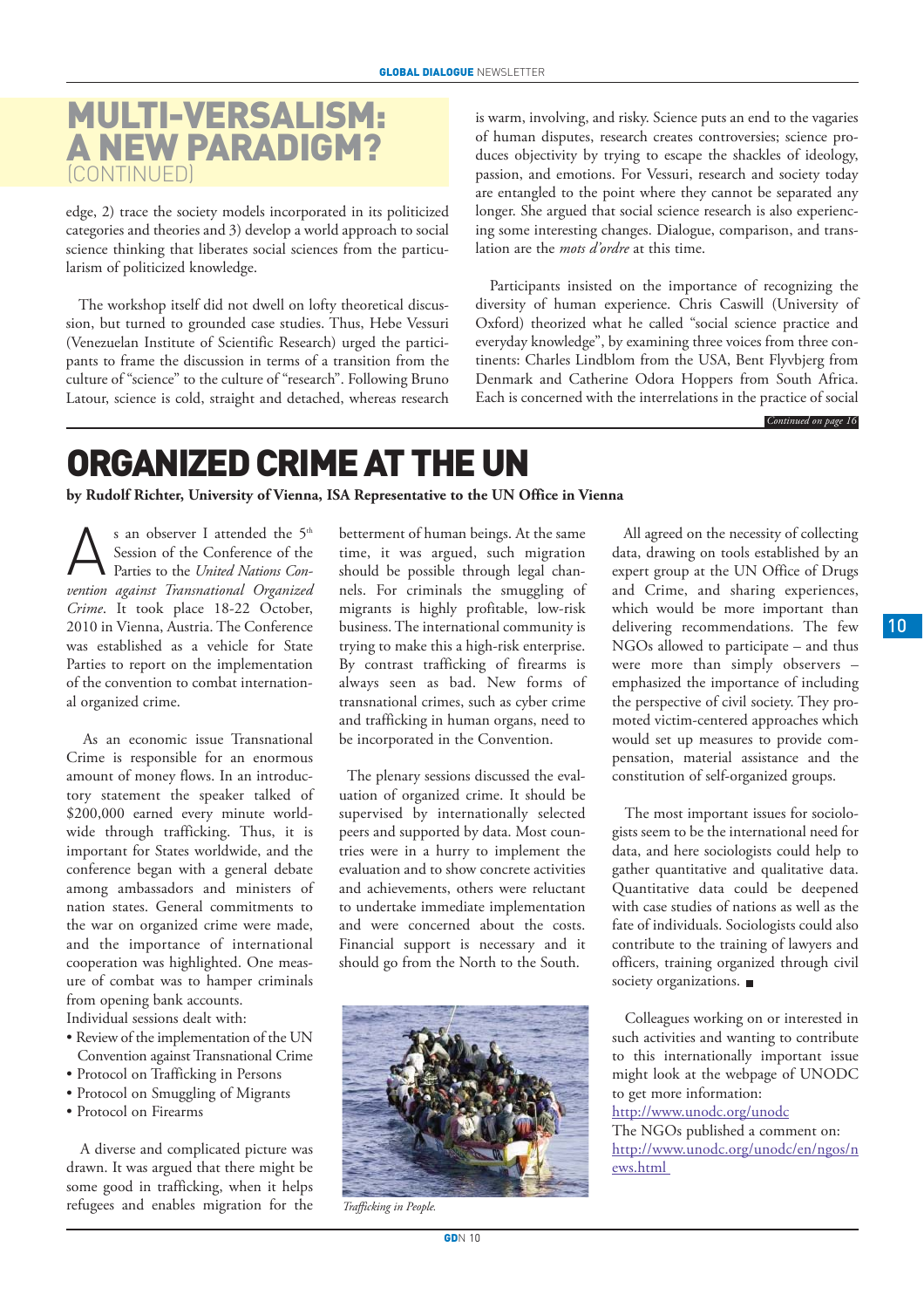

edge, 2) trace the society models incorporated in its politicized categories and theories and 3) develop a world approach to social science thinking that liberates social sciences from the particularism of politicized knowledge.

The workshop itself did not dwell on lofty theoretical discussion, but turned to grounded case studies. Thus, Hebe Vessuri (Venezuelan Institute of Scientific Research) urged the participants to frame the discussion in terms of a transition from the culture of "science" to the culture of "research". Following Bruno Latour, science is cold, straight and detached, whereas research is warm, involving, and risky. Science puts an end to the vagaries of human disputes, research creates controversies; science produces objectivity by trying to escape the shackles of ideology, passion, and emotions. For Vessuri, research and society today are entangled to the point where they cannot be separated any longer. She argued that social science research is also experiencing some interesting changes. Dialogue, comparison, and translation are the *mots d'ordre* at this time.

Participants insisted on the importance of recognizing the diversity of human experience. Chris Caswill (University of Oxford) theorized what he called "social science practice and everyday knowledge", by examining three voices from three continents: Charles Lindblom from the USA, Bent Flyvbjerg from Denmark and Catherine Odora Hoppers from South Africa. Each is concerned with the interrelations in the practice of social

*Continued on page 16*

# ORGANIZED CRIME AT THE UN

**by Rudolf Richter, University of Vienna, ISA Representative to the UN Office in Vienna**

s an observer I attended the 5<sup>th</sup> Session of the Conference of the Parties to the *United Nations Con-*<sup>*s*</sup> an observer I attended the 5<sup>th</sup><br>Session of the Conference of the<br>*parties to the United Nations Con-*<br>*vention against Transnational Organized Crime*. It took place 18-22 October, 2010 in Vienna, Austria. The Conference was established as a vehicle for State Parties to report on the implementation of the convention to combat international organized crime.

As an economic issue Transnational Crime is responsible for an enormous amount of money flows. In an introductory statement the speaker talked of \$200,000 earned every minute worldwide through trafficking. Thus, it is important for States worldwide, and the conference began with a general debate among ambassadors and ministers of nation states. General commitments to the war on organized crime were made, and the importance of international cooperation was highlighted. One measure of combat was to hamper criminals from opening bank accounts. Individual sessions dealt with:

- Review of the implementation of the UN Convention against Transnational Crime
- Protocol on Trafficking in Persons
- Protocol on Smuggling of Migrants
- Protocol on Firearms

A diverse and complicated picture was drawn. It was argued that there might be some good in trafficking, when it helps refugees and enables migration for the betterment of human beings. At the same time, it was argued, such migration should be possible through legal channels. For criminals the smuggling of migrants is highly profitable, low-risk business. The international community is trying to make this a high-risk enterprise. By contrast trafficking of firearms is always seen as bad. New forms of transnational crimes, such as cyber crime and trafficking in human organs, need to be incorporated in the Convention.

The plenary sessions discussed the evaluation of organized crime. It should be supervised by internationally selected peers and supported by data. Most countries were in a hurry to implement the evaluation and to show concrete activities and achievements, others were reluctant to undertake immediate implementation and were concerned about the costs. Financial support is necessary and it should go from the North to the South.



*Trafficking in People.*

All agreed on the necessity of collecting data, drawing on tools established by an expert group at the UN Office of Drugs and Crime, and sharing experiences, which would be more important than delivering recommendations. The few NGOs allowed to participate – and thus were more than simply observers – emphasized the importance of including the perspective of civil society. They promoted victim-centered approaches which would set up measures to provide compensation, material assistance and the constitution of self-organized groups.

The most important issues for sociologists seem to be the international need for data, and here sociologists could help to gather quantitative and qualitative data. Quantitative data could be deepened with case studies of nations as well as the fate of individuals. Sociologists could also contribute to the training of lawyers and officers, training organized through civil society organizations.

Colleagues working on or interested in such activities and wanting to contribute to this internationally important issue might look at the webpage of UNODC to get more information: http://www.unodc.org/unodc

The NGOs published a comment on: http://www.unodc.org/unodc/en/ngos/n ews.html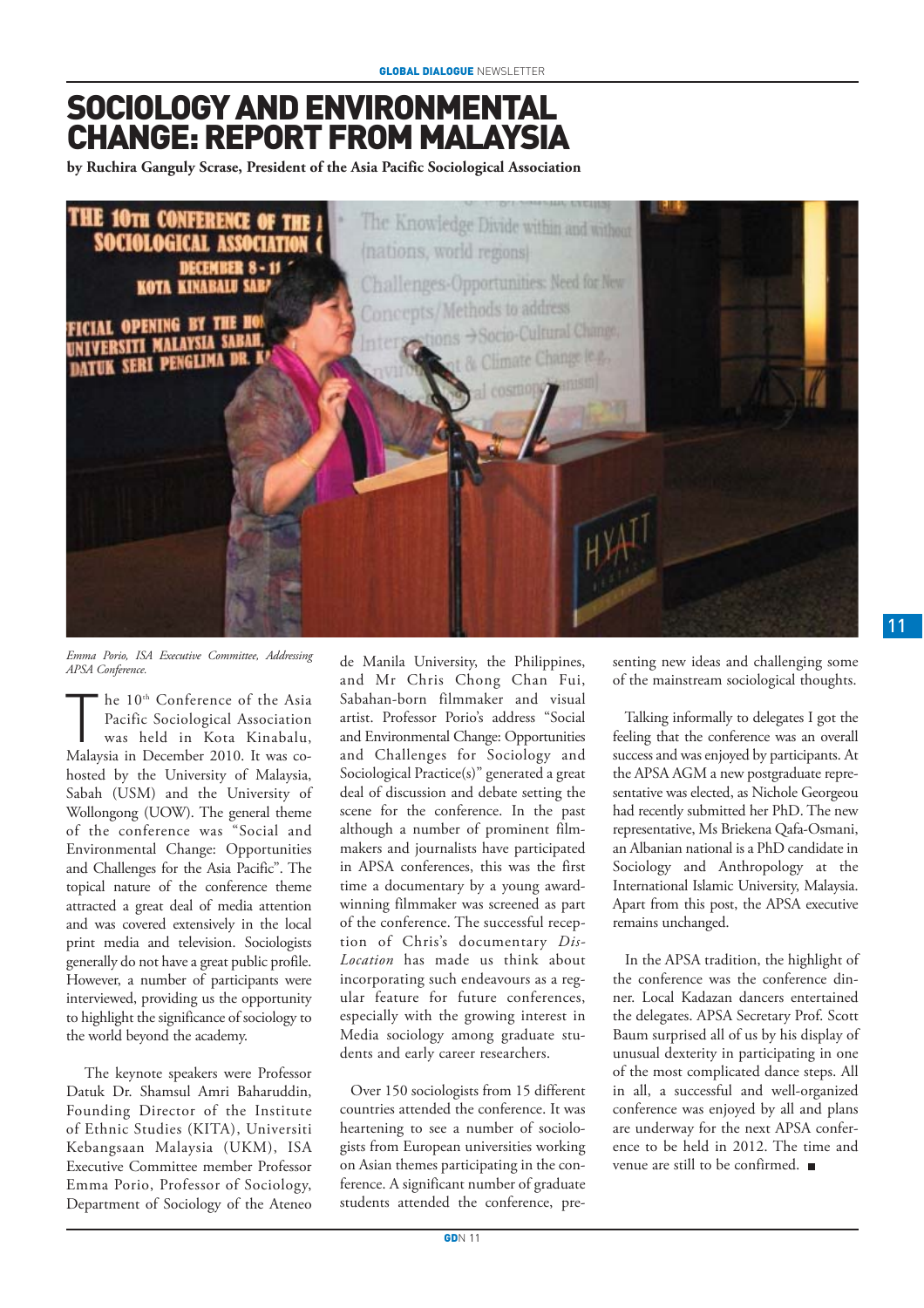# SOCIOLOGY AND ENVIRONMENTAL CHANGE: REPORT FROM MALAYSIA

**by Ruchira Ganguly Scrase, President of the Asia Pacific Sociological Association**



*Emma Porio, ISA Executive Committee, Addressing APSA Conference.*

he 10<sup>th</sup> Conference of the Asia Pacific Sociological Association was held in Kota Kinabalu, The 10<sup>th</sup> Conference of the Asia<br>Pacific Sociological Association<br>was held in Kota Kinabalu,<br>Malaysia in December 2010. It was cohosted by the University of Malaysia, Sabah (USM) and the University of Wollongong (UOW). The general theme of the conference was "Social and Environmental Change: Opportunities and Challenges for the Asia Pacific". The topical nature of the conference theme attracted a great deal of media attention and was covered extensively in the local print media and television. Sociologists generally do not have a great public profile. However, a number of participants were interviewed, providing us the opportunity to highlight the significance of sociology to the world beyond the academy.

The keynote speakers were Professor Datuk Dr. Shamsul Amri Baharuddin, Founding Director of the Institute of Ethnic Studies (KITA), Universiti Kebangsaan Malaysia (UKM), ISA Executive Committee member Professor Emma Porio, Professor of Sociology, Department of Sociology of the Ateneo

de Manila University, the Philippines, and Mr Chris Chong Chan Fui, Sabahan-born filmmaker and visual artist. Professor Porio's address "Social and Environmental Change: Opportunities and Challenges for Sociology and Sociological Practice(s)" generated a great deal of discussion and debate setting the scene for the conference. In the past although a number of prominent filmmakers and journalists have participated in APSA conferences, this was the first time a documentary by a young awardwinning filmmaker was screened as part of the conference. The successful reception of Chris's documentary *Dis-Location* has made us think about incorporating such endeavours as a regular feature for future conferences, especially with the growing interest in Media sociology among graduate students and early career researchers.

Over 150 sociologists from 15 different countries attended the conference. It was heartening to see a number of sociologists from European universities working on Asian themes participating in the conference. A significant number of graduate students attended the conference, presenting new ideas and challenging some of the mainstream sociological thoughts.

Talking informally to delegates I got the feeling that the conference was an overall success and was enjoyed by participants. At the APSA AGM a new postgraduate representative was elected, as Nichole Georgeou had recently submitted her PhD. The new representative, Ms Briekena Qafa-Osmani, an Albanian national is a PhD candidate in Sociology and Anthropology at the International Islamic University, Malaysia. Apart from this post, the APSA executive remains unchanged.

In the APSA tradition, the highlight of the conference was the conference dinner. Local Kadazan dancers entertained the delegates. APSA Secretary Prof. Scott Baum surprised all of us by his display of unusual dexterity in participating in one of the most complicated dance steps. All in all, a successful and well-organized conference was enjoyed by all and plans are underway for the next APSA conference to be held in 2012. The time and venue are still to be confirmed.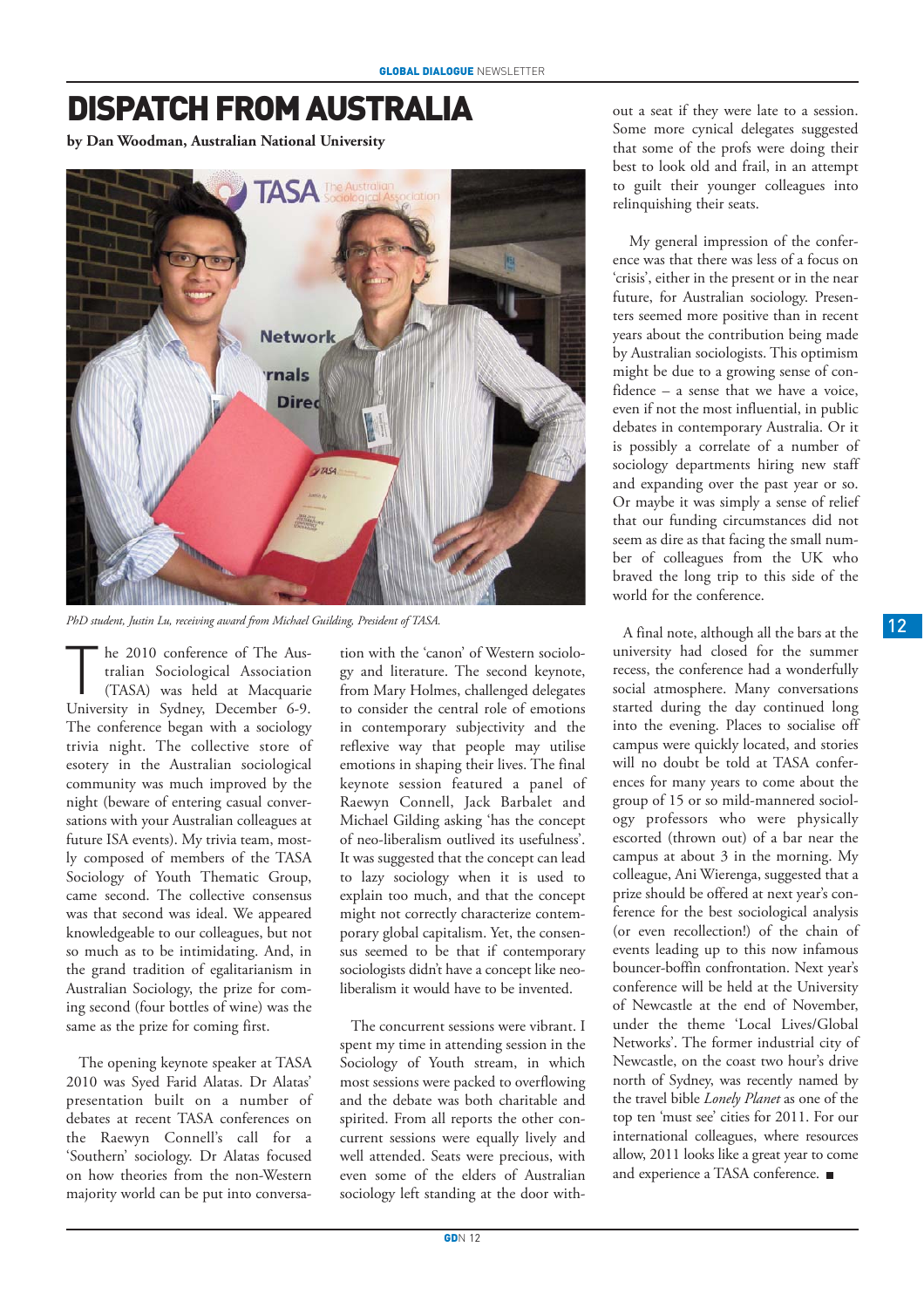# DISPATCH FROM AUSTRALIA

**by Dan Woodman, Australian National University**



*PhD student, Justin Lu, receiving award from Michael Guilding, President of TASA.*

he 2010 conference of The Australian Sociological Association (TASA) was held at Macquarie The 2010 conference of The Australian Sociological Association<br>(TASA) was held at Macquarie<br>University in Sydney, December 6-9. The conference began with a sociology trivia night. The collective store of esotery in the Australian sociological community was much improved by the night (beware of entering casual conversations with your Australian colleagues at future ISA events). My trivia team, mostly composed of members of the TASA Sociology of Youth Thematic Group, came second. The collective consensus was that second was ideal. We appeared knowledgeable to our colleagues, but not so much as to be intimidating. And, in the grand tradition of egalitarianism in Australian Sociology, the prize for coming second (four bottles of wine) was the same as the prize for coming first.

The opening keynote speaker at TASA 2010 was Syed Farid Alatas. Dr Alatas' presentation built on a number of debates at recent TASA conferences on the Raewyn Connell's call for a 'Southern' sociology. Dr Alatas focused on how theories from the non-Western majority world can be put into conversa-

tion with the 'canon' of Western sociology and literature. The second keynote, from Mary Holmes, challenged delegates to consider the central role of emotions in contemporary subjectivity and the reflexive way that people may utilise emotions in shaping their lives. The final keynote session featured a panel of Raewyn Connell, Jack Barbalet and Michael Gilding asking 'has the concept of neo-liberalism outlived its usefulness'. It was suggested that the concept can lead to lazy sociology when it is used to explain too much, and that the concept might not correctly characterize contemporary global capitalism. Yet, the consensus seemed to be that if contemporary sociologists didn't have a concept like neoliberalism it would have to be invented.

The concurrent sessions were vibrant. I spent my time in attending session in the Sociology of Youth stream, in which most sessions were packed to overflowing and the debate was both charitable and spirited. From all reports the other concurrent sessions were equally lively and well attended. Seats were precious, with even some of the elders of Australian sociology left standing at the door without a seat if they were late to a session. Some more cynical delegates suggested that some of the profs were doing their best to look old and frail, in an attempt to guilt their younger colleagues into relinquishing their seats.

My general impression of the conference was that there was less of a focus on 'crisis', either in the present or in the near future, for Australian sociology. Presenters seemed more positive than in recent years about the contribution being made by Australian sociologists. This optimism might be due to a growing sense of confidence – a sense that we have a voice, even if not the most influential, in public debates in contemporary Australia. Or it is possibly a correlate of a number of sociology departments hiring new staff and expanding over the past year or so. Or maybe it was simply a sense of relief that our funding circumstances did not seem as dire as that facing the small number of colleagues from the UK who braved the long trip to this side of the world for the conference.

A final note, although all the bars at the university had closed for the summer recess, the conference had a wonderfully social atmosphere. Many conversations started during the day continued long into the evening. Places to socialise off campus were quickly located, and stories will no doubt be told at TASA conferences for many years to come about the group of 15 or so mild-mannered sociology professors who were physically escorted (thrown out) of a bar near the campus at about 3 in the morning. My colleague, Ani Wierenga, suggested that a prize should be offered at next year's conference for the best sociological analysis (or even recollection!) of the chain of events leading up to this now infamous bouncer-boffin confrontation. Next year's conference will be held at the University of Newcastle at the end of November, under the theme 'Local Lives/Global Networks'. The former industrial city of Newcastle, on the coast two hour's drive north of Sydney, was recently named by the travel bible *Lonely Planet* as one of the top ten 'must see' cities for 2011. For our international colleagues, where resources allow, 2011 looks like a great year to come and experience a TASA conference.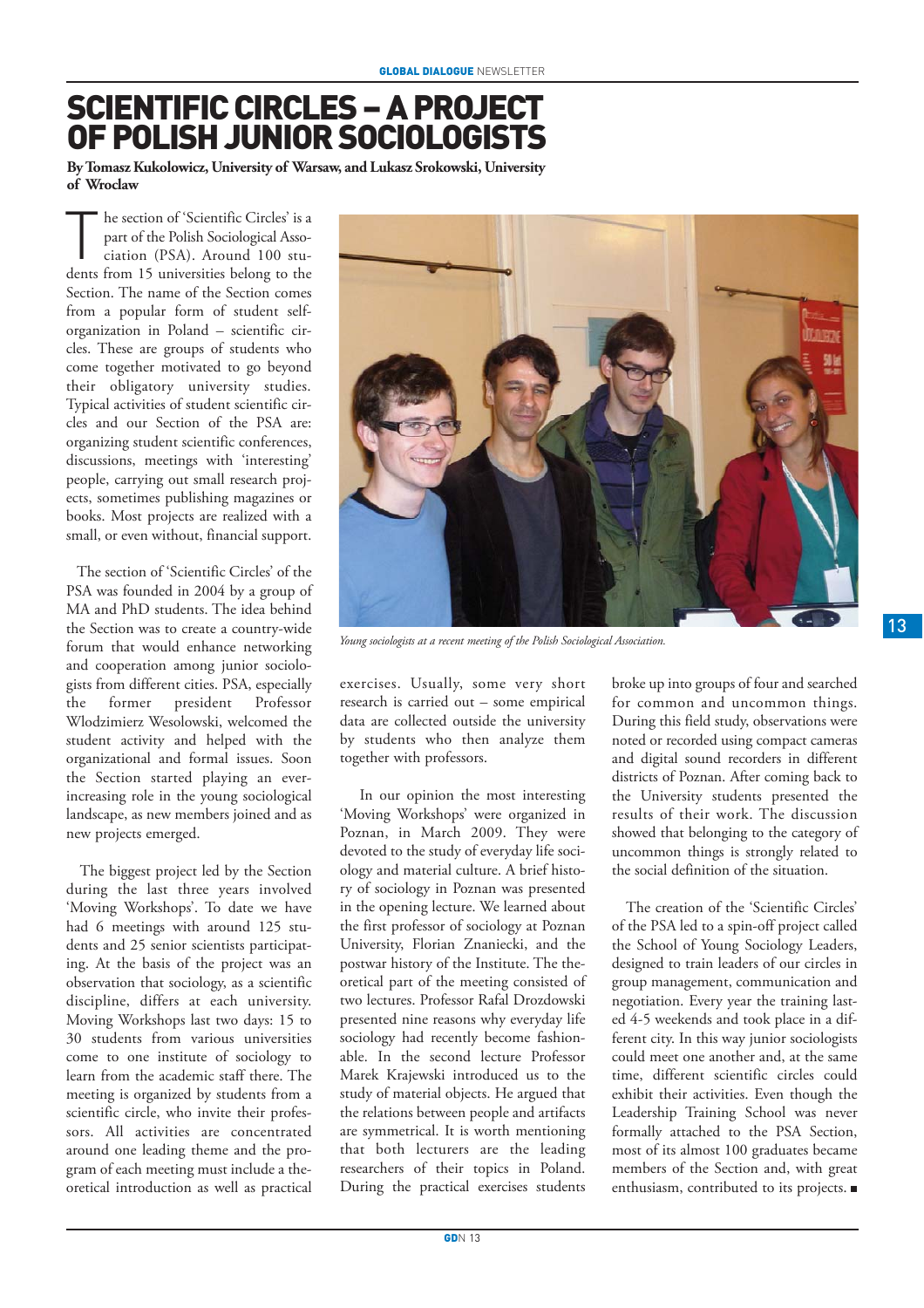# SCIENTIFIC CIRCLES – A PROJECT OF POLISH JUNIOR SOCIOLOGISTS

**By Tomasz Kukolowicz, University of Warsaw, and Lukasz Srokowski, University of Wroclaw**

he section of 'Scientific Circles' is a part of the Polish Sociological Association (PSA). Around 100 stu-The section of 'Scientific Circles' is a<br>part of the Polish Sociological Asso-<br>ciation (PSA). Around 100 stu-<br>dents from 15 universities belong to the Section. The name of the Section comes from a popular form of student selforganization in Poland – scientific circles. These are groups of students who come together motivated to go beyond their obligatory university studies. Typical activities of student scientific circles and our Section of the PSA are: organizing student scientific conferences, discussions, meetings with 'interesting' people, carrying out small research projects, sometimes publishing magazines or books. Most projects are realized with a small, or even without, financial support.

The section of 'Scientific Circles' of the PSA was founded in 2004 by a group of MA and PhD students. The idea behind the Section was to create a country-wide forum that would enhance networking and cooperation among junior sociologists from different cities. PSA, especially the former president Professor Wlodzimierz Wesolowski, welcomed the student activity and helped with the organizational and formal issues. Soon the Section started playing an everincreasing role in the young sociological landscape, as new members joined and as new projects emerged.

The biggest project led by the Section during the last three years involved 'Moving Workshops'. To date we have had 6 meetings with around 125 students and 25 senior scientists participating. At the basis of the project was an observation that sociology, as a scientific discipline, differs at each university. Moving Workshops last two days: 15 to 30 students from various universities come to one institute of sociology to learn from the academic staff there. The meeting is organized by students from a scientific circle, who invite their professors. All activities are concentrated around one leading theme and the program of each meeting must include a theoretical introduction as well as practical



*Young sociologists at a recent meeting of the Polish Sociological Association.*

exercises. Usually, some very short research is carried out – some empirical data are collected outside the university by students who then analyze them together with professors.

In our opinion the most interesting 'Moving Workshops' were organized in Poznan, in March 2009. They were devoted to the study of everyday life sociology and material culture. A brief history of sociology in Poznan was presented in the opening lecture. We learned about the first professor of sociology at Poznan University, Florian Znaniecki, and the postwar history of the Institute. The theoretical part of the meeting consisted of two lectures. Professor Rafal Drozdowski presented nine reasons why everyday life sociology had recently become fashionable. In the second lecture Professor Marek Krajewski introduced us to the study of material objects. He argued that the relations between people and artifacts are symmetrical. It is worth mentioning that both lecturers are the leading researchers of their topics in Poland. During the practical exercises students

broke up into groups of four and searched for common and uncommon things. During this field study, observations were noted or recorded using compact cameras and digital sound recorders in different districts of Poznan. After coming back to the University students presented the results of their work. The discussion showed that belonging to the category of uncommon things is strongly related to the social definition of the situation.

The creation of the 'Scientific Circles' of the PSA led to a spin-off project called the School of Young Sociology Leaders, designed to train leaders of our circles in group management, communication and negotiation. Every year the training lasted 4-5 weekends and took place in a different city. In this way junior sociologists could meet one another and, at the same time, different scientific circles could exhibit their activities. Even though the Leadership Training School was never formally attached to the PSA Section, most of its almost 100 graduates became members of the Section and, with great enthusiasm, contributed to its projects.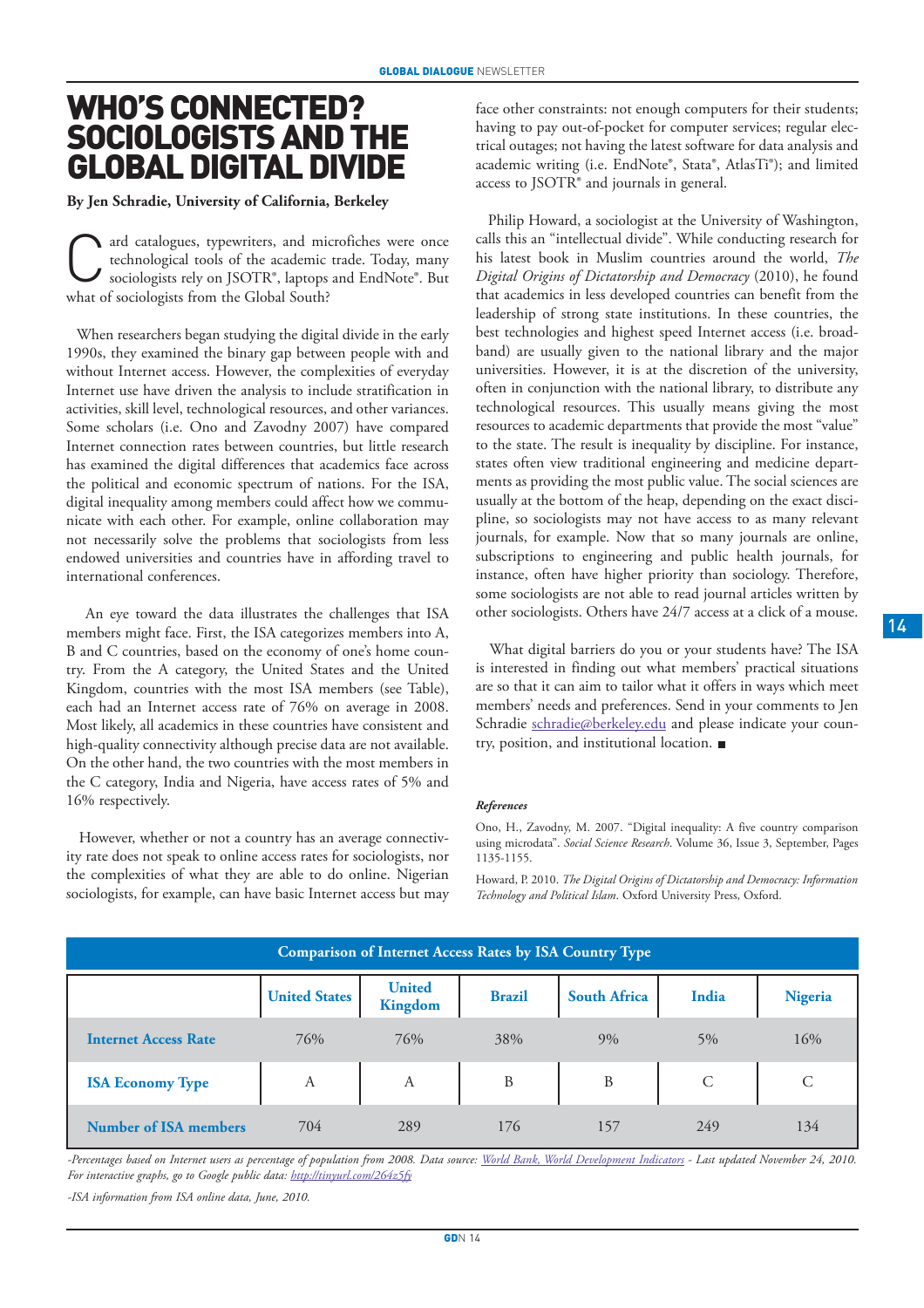# WHO'S CONNECTED? SOCIOLOGISTS AND THE GLOBAL DIGITAL DIVIDE

**By Jen Schradie, University of California, Berkeley**

ard catalogues, typewriters, and microfiches were once technological tools of the academic trade. Today, many sociologists rely on JSOTR®, laptops and EndNote®. But and catalogues, typewriters, and mic<br>technological tools of the academic to<br>sociologists rely on JSOTR®, laptops<br>what of sociologists from the Global South?

When researchers began studying the digital divide in the early 1990s, they examined the binary gap between people with and without Internet access. However, the complexities of everyday Internet use have driven the analysis to include stratification in activities, skill level, technological resources, and other variances. Some scholars (i.e. Ono and Zavodny 2007) have compared Internet connection rates between countries, but little research has examined the digital differences that academics face across the political and economic spectrum of nations. For the ISA, digital inequality among members could affect how we communicate with each other. For example, online collaboration may not necessarily solve the problems that sociologists from less endowed universities and countries have in affording travel to international conferences.

An eye toward the data illustrates the challenges that ISA members might face. First, the ISA categorizes members into A, B and C countries, based on the economy of one's home country. From the A category, the United States and the United Kingdom, countries with the most ISA members (see Table), each had an Internet access rate of 76% on average in 2008. Most likely, all academics in these countries have consistent and high-quality connectivity although precise data are not available. On the other hand, the two countries with the most members in the C category, India and Nigeria, have access rates of 5% and 16% respectively.

However, whether or not a country has an average connectivity rate does not speak to online access rates for sociologists, nor the complexities of what they are able to do online. Nigerian sociologists, for example, can have basic Internet access but may face other constraints: not enough computers for their students; having to pay out-of-pocket for computer services; regular electrical outages; not having the latest software for data analysis and academic writing (i.e. EndNote®, Stata®, AtlasTi®); and limited access to JSOTR® and journals in general.

Philip Howard, a sociologist at the University of Washington, calls this an "intellectual divide". While conducting research for his latest book in Muslim countries around the world, *The Digital Origins of Dictatorship and Democracy* (2010), he found that academics in less developed countries can benefit from the leadership of strong state institutions. In these countries, the best technologies and highest speed Internet access (i.e. broadband) are usually given to the national library and the major universities. However, it is at the discretion of the university, often in conjunction with the national library, to distribute any technological resources. This usually means giving the most resources to academic departments that provide the most "value" to the state. The result is inequality by discipline. For instance, states often view traditional engineering and medicine departments as providing the most public value. The social sciences are usually at the bottom of the heap, depending on the exact discipline, so sociologists may not have access to as many relevant journals, for example. Now that so many journals are online, subscriptions to engineering and public health journals, for instance, often have higher priority than sociology. Therefore, some sociologists are not able to read journal articles written by other sociologists. Others have 24/7 access at a click of a mouse.

What digital barriers do you or your students have? The ISA is interested in finding out what members' practical situations are so that it can aim to tailor what it offers in ways which meet members' needs and preferences. Send in your comments to Jen Schradie schradie@berkeley.edu and please indicate your country, position, and institutional location.

#### *References*

Ono, H., Zavodny, M. 2007. "Digital inequality: A five country comparison using microdata". *Social Science Research*. Volume 36, Issue 3, September, Pages 1135-1155.

Howard, P. 2010. *The Digital Origins of Dictatorship and Democracy: Information Technology and Political Islam*. Oxford University Press, Oxford.

| <b>Comparison of Internet Access Rates by ISA Country Type</b> |                      |                          |               |                     |       |         |  |  |
|----------------------------------------------------------------|----------------------|--------------------------|---------------|---------------------|-------|---------|--|--|
|                                                                | <b>United States</b> | <b>United</b><br>Kingdom | <b>Brazil</b> | <b>South Africa</b> | India | Nigeria |  |  |
| <b>Internet Access Rate</b>                                    | 76%                  | 76%                      | 38%           | 9%                  | 5%    | 16%     |  |  |
| <b>ISA Economy Type</b>                                        | $\boldsymbol{A}$     | A                        | B             | B                   | C     |         |  |  |
| <b>Number of ISA members</b>                                   | 704                  | 289                      | 176           | 157                 | 249   | 134     |  |  |

*-Percentages based on Internet users as percentage of population from 2008. Data source: World Bank, World Development Indicators - Last updated November 24, 2010. For interactive graphs, go to Google public data: http://tinyurl.com/264z5fy*

*-ISA information from ISA online data, June, 2010.*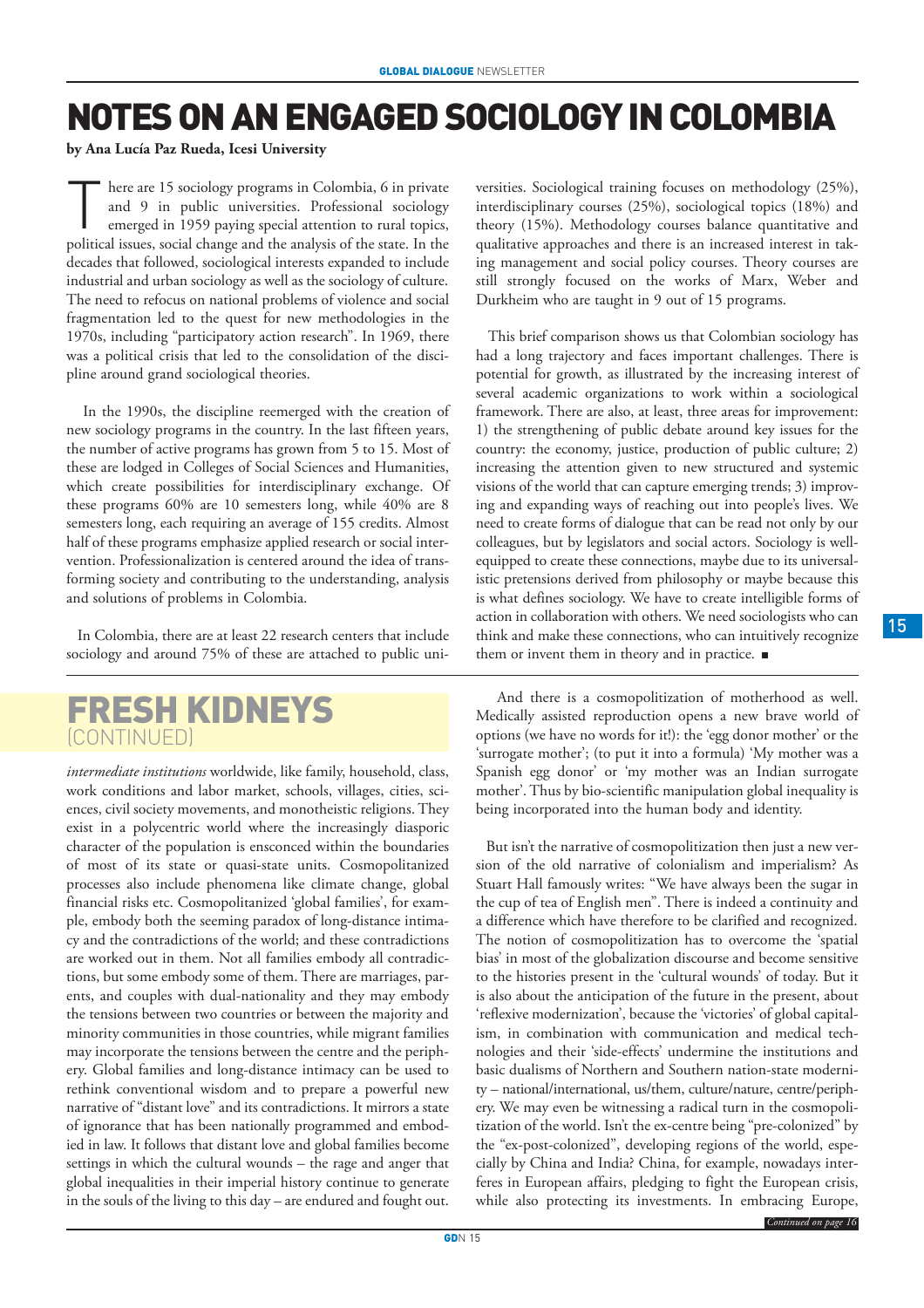# NOTES ON AN ENGAGED SOCIOLOGY IN COLOMBIA

**by Ana Lucía Paz Rueda, Icesi University**

here are 15 sociology programs in Colombia, 6 in private and 9 in public universities. Professional sociology emerged in 1959 paying special attention to rural topics, Frame are 15 sociology programs in Colombia, 6 in private and 9 in public universities. Professional sociology emerged in 1959 paying special attention to rural topics, political issues, social change and the analysis of t decades that followed, sociological interests expanded to include industrial and urban sociology as well as the sociology of culture. The need to refocus on national problems of violence and social fragmentation led to the quest for new methodologies in the 1970s, including "participatory action research". In 1969, there was a political crisis that led to the consolidation of the discipline around grand sociological theories.

In the 1990s, the discipline reemerged with the creation of new sociology programs in the country. In the last fifteen years, the number of active programs has grown from 5 to 15. Most of these are lodged in Colleges of Social Sciences and Humanities, which create possibilities for interdisciplinary exchange. Of these programs 60% are 10 semesters long, while 40% are 8 semesters long, each requiring an average of 155 credits. Almost half of these programs emphasize applied research or social intervention. Professionalization is centered around the idea of transforming society and contributing to the understanding, analysis and solutions of problems in Colombia.

In Colombia, there are at least 22 research centers that include sociology and around 75% of these are attached to public uni-

### FRESH KIDNEYS (CONTINUED)

*intermediate institutions* worldwide, like family, household, class, work conditions and labor market, schools, villages, cities, sciences, civil society movements, and monotheistic religions. They exist in a polycentric world where the increasingly diasporic character of the population is ensconced within the boundaries of most of its state or quasi-state units. Cosmopolitanized processes also include phenomena like climate change, global financial risks etc. Cosmopolitanized 'global families', for example, embody both the seeming paradox of long-distance intimacy and the contradictions of the world; and these contradictions are worked out in them. Not all families embody all contradictions, but some embody some of them. There are marriages, parents, and couples with dual-nationality and they may embody the tensions between two countries or between the majority and minority communities in those countries, while migrant families may incorporate the tensions between the centre and the periphery. Global families and long-distance intimacy can be used to rethink conventional wisdom and to prepare a powerful new narrative of "distant love" and its contradictions. It mirrors a state of ignorance that has been nationally programmed and embodied in law. It follows that distant love and global families become settings in which the cultural wounds – the rage and anger that global inequalities in their imperial history continue to generate in the souls of the living to this day – are endured and fought out. versities. Sociological training focuses on methodology (25%), interdisciplinary courses (25%), sociological topics (18%) and theory (15%). Methodology courses balance quantitative and qualitative approaches and there is an increased interest in taking management and social policy courses. Theory courses are still strongly focused on the works of Marx, Weber and Durkheim who are taught in 9 out of 15 programs.

This brief comparison shows us that Colombian sociology has had a long trajectory and faces important challenges. There is potential for growth, as illustrated by the increasing interest of several academic organizations to work within a sociological framework. There are also, at least, three areas for improvement: 1) the strengthening of public debate around key issues for the country: the economy, justice, production of public culture; 2) increasing the attention given to new structured and systemic visions of the world that can capture emerging trends; 3) improving and expanding ways of reaching out into people's lives. We need to create forms of dialogue that can be read not only by our colleagues, but by legislators and social actors. Sociology is wellequipped to create these connections, maybe due to its universalistic pretensions derived from philosophy or maybe because this is what defines sociology. We have to create intelligible forms of action in collaboration with others. We need sociologists who can think and make these connections, who can intuitively recognize them or invent them in theory and in practice.

And there is a cosmopolitization of motherhood as well. Medically assisted reproduction opens a new brave world of options (we have no words for it!): the 'egg donor mother' or the 'surrogate mother'; (to put it into a formula) 'My mother was a Spanish egg donor' or 'my mother was an Indian surrogate mother'. Thus by bio-scientific manipulation global inequality is being incorporated into the human body and identity.

But isn't the narrative of cosmopolitization then just a new version of the old narrative of colonialism and imperialism? As Stuart Hall famously writes: "We have always been the sugar in the cup of tea of English men". There is indeed a continuity and a difference which have therefore to be clarified and recognized. The notion of cosmopolitization has to overcome the 'spatial bias' in most of the globalization discourse and become sensitive to the histories present in the 'cultural wounds' of today. But it is also about the anticipation of the future in the present, about 'reflexive modernization', because the 'victories' of global capitalism, in combination with communication and medical technologies and their 'side-effects' undermine the institutions and basic dualisms of Northern and Southern nation-state modernity – national/international, us/them, culture/nature, centre/periphery. We may even be witnessing a radical turn in the cosmopolitization of the world. Isn't the ex-centre being "pre-colonized" by the "ex-post-colonized", developing regions of the world, especially by China and India? China, for example, nowadays interferes in European affairs, pledging to fight the European crisis, while also protecting its investments. In embracing Europe,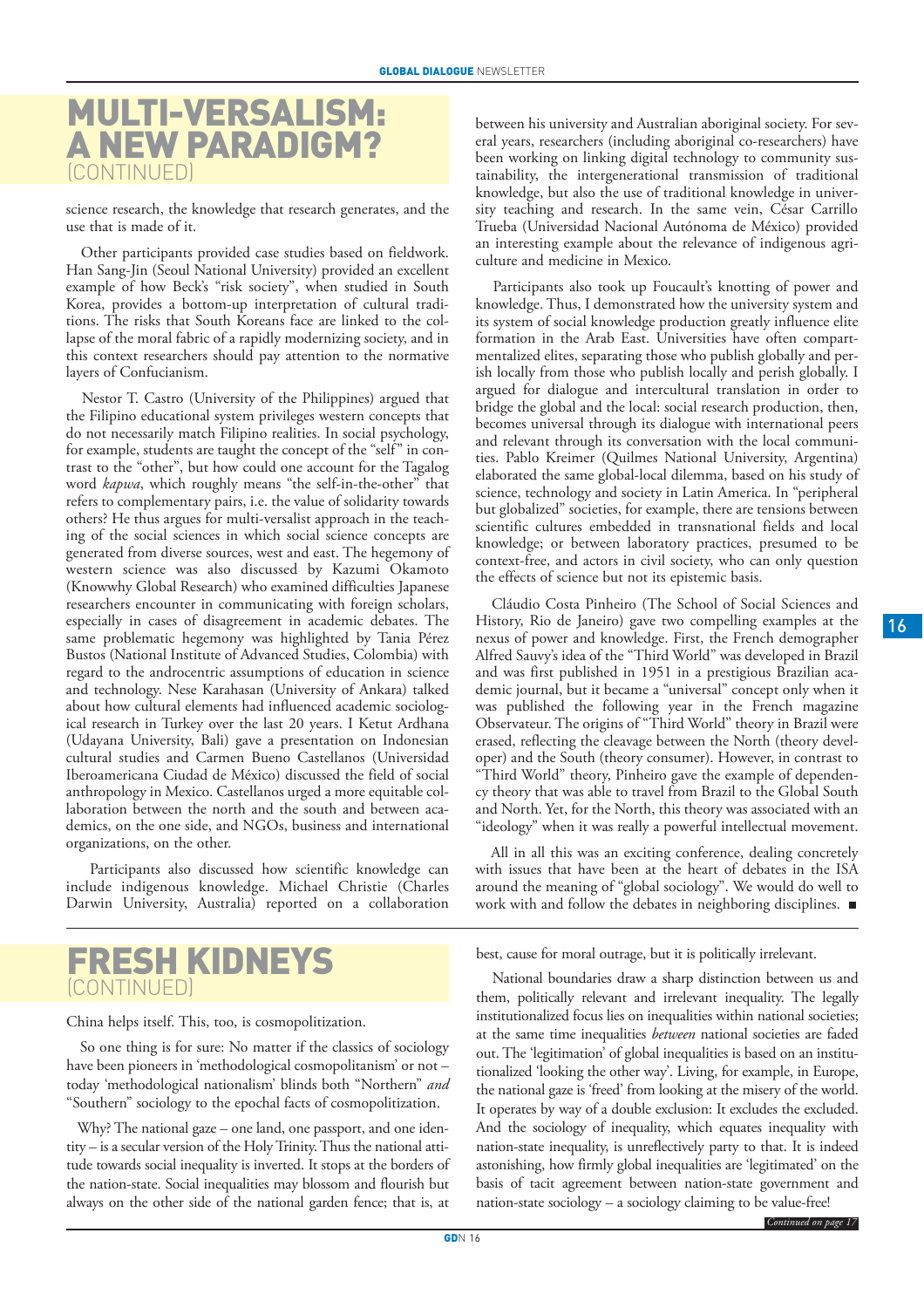### MULTI-VERSALISM: A NEW PARADIGM? (CONTINUED)

science research, the knowledge that research generates, and the use that is made of it.

Other participants provided case studies based on fieldwork. Han Sang-Jin (Seoul National University) provided an excellent example of how Beck's "risk society", when studied in South Korea, provides a bottom-up interpretation of cultural traditions. The risks that South Koreans face are linked to the collapse of the moral fabric of a rapidly modernizing society, and in this context researchers should pay attention to the normative layers of Confucianism.

Nestor T. Castro (University of the Philippines) argued that the Filipino educational system privileges western concepts that do not necessarily match Filipino realities. In social psychology, for example, students are taught the concept of the "self" in contrast to the "other", but how could one account for the Tagalog word *kapwa*, which roughly means "the self-in-the-other" that refers to complementary pairs, i.e. the value of solidarity towards others? He thus argues for multi-versalist approach in the teaching of the social sciences in which social science concepts are generated from diverse sources, west and east. The hegemony of western science was also discussed by Kazumi Okamoto (Knowwhy Global Research) who examined difficulties Japanese researchers encounter in communicating with foreign scholars, especially in cases of disagreement in academic debates. The same problematic hegemony was highlighted by Tania Pérez Bustos (National Institute of Advanced Studies, Colombia) with regard to the androcentric assumptions of education in science and technology. Nese Karahasan (University of Ankara) talked about how cultural elements had influenced academic sociological research in Turkey over the last 20 years. I Ketut Ardhana (Udayana University, Bali) gave a presentation on Indonesian cultural studies and Carmen Bueno Castellanos (Universidad Iberoamericana Ciudad de México) discussed the field of social anthropology in Mexico. Castellanos urged a more equitable collaboration between the north and the south and between academics, on the one side, and NGOs, business and international organizations, on the other.

Participants also discussed how scientific knowledge can include indigenous knowledge. Michael Christie (Charles Darwin University, Australia) reported on a collaboration

### FRESH KIDNEYS (CONTINUED)

China helps itself. This, too, is cosmopolitization.

So one thing is for sure: No matter if the classics of sociology have been pioneers in 'methodological cosmopolitanism' or not – today 'methodological nationalism' blinds both "Northern" *and* "Southern" sociology to the epochal facts of cosmopolitization.

Why? The national gaze – one land, one passport, and one identity – is a secular version of the Holy Trinity. Thus the national attitude towards social inequality is inverted. It stops at the borders of the nation-state. Social inequalities may blossom and flourish but always on the other side of the national garden fence; that is, at

between his university and Australian aboriginal society. For several years, researchers (including aboriginal co-researchers) have been working on linking digital technology to community sustainability, the intergenerational transmission of traditional knowledge, but also the use of traditional knowledge in university teaching and research. In the same vein, César Carrillo Trueba (Universidad Nacional Autónoma de México) provided an interesting example about the relevance of indigenous agriculture and medicine in Mexico.

Participants also took up Foucault's knotting of power and knowledge. Thus, I demonstrated how the university system and its system of social knowledge production greatly influence elite formation in the Arab East. Universities have often compartmentalized elites, separating those who publish globally and perish locally from those who publish locally and perish globally. I argued for dialogue and intercultural translation in order to bridge the global and the local: social research production, then, becomes universal through its dialogue with international peers and relevant through its conversation with the local communities. Pablo Kreimer (Quilmes National University, Argentina) elaborated the same global-local dilemma, based on his study of science, technology and society in Latin America. In "peripheral but globalized" societies, for example, there are tensions between scientific cultures embedded in transnational fields and local knowledge; or between laboratory practices, presumed to be context-free, and actors in civil society, who can only question the effects of science but not its epistemic basis.

Cláudio Costa Pinheiro (The School of Social Sciences and History, Rio de Janeiro) gave two compelling examples at the nexus of power and knowledge. First, the French demographer Alfred Sauvy's idea of the "Third World" was developed in Brazil and was first published in 1951 in a prestigious Brazilian academic journal, but it became a "universal" concept only when it was published the following year in the French magazine Observateur. The origins of "Third World" theory in Brazil were erased, reflecting the cleavage between the North (theory developer) and the South (theory consumer). However, in contrast to "Third World" theory, Pinheiro gave the example of dependency theory that was able to travel from Brazil to the Global South and North. Yet, for the North, this theory was associated with an "ideology" when it was really a powerful intellectual movement.

All in all this was an exciting conference, dealing concretely with issues that have been at the heart of debates in the ISA around the meaning of "global sociology". We would do well to work with and follow the debates in neighboring disciplines.  $\blacksquare$ 

best, cause for moral outrage, but it is politically irrelevant.

National boundaries draw a sharp distinction between us and them, politically relevant and irrelevant inequality. The legally institutionalized focus lies on inequalities within national societies; at the same time inequalities *between* national societies are faded out. The 'legitimation' of global inequalities is based on an institutionalized 'looking the other way'. Living, for example, in Europe, the national gaze is 'freed' from looking at the misery of the world. It operates by way of a double exclusion: It excludes the excluded. And the sociology of inequality, which equates inequality with nation-state inequality, is unreflectively party to that. It is indeed astonishing, how firmly global inequalities are 'legitimated' on the basis of tacit agreement between nation-state government and nation-state sociology – a sociology claiming to be value-free!